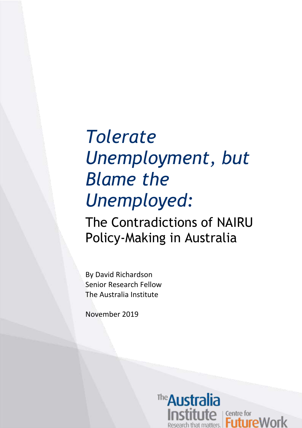# *Tolerate Unemployment, but Blame the Unemployed:* The Contradictions of NAIRU Policy-Making in Australia

By David Richardson Senior Research Fellow The Australia Institute

November 2019

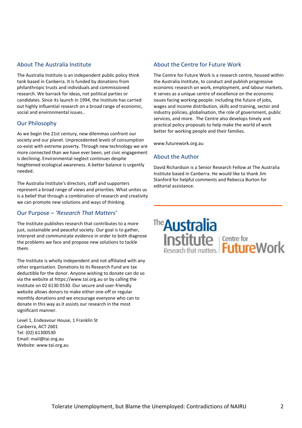#### About The Australia Institute

The Australia Institute is an independent public policy think tank based in Canberra. It is funded by donations from philanthropic trusts and individuals and commissioned research. We barrack for ideas, not political parties or candidates. Since its launch in 1994, the Institute has carried out highly influential research on a broad range of economic, social and environmental issues..

#### Our Philosophy

As we begin the 21st century, new dilemmas confront our society and our planet. Unprecedented levels of consumption co-exist with extreme poverty. Through new technology we are more connected than we have ever been, yet civic engagement is declining. Environmental neglect continues despite heightened ecological awareness. A better balance is urgently needed.

The Australia Institute's directors, staff and supporters represent a broad range of views and priorities. What unites us is a belief that through a combination of research and creativity we can promote new solutions and ways of thinking.

#### Our Purpose – *'Research That Matters'*

The Institute publishes research that contributes to a more just, sustainable and peaceful society. Our goal is to gather, interpret and communicate evidence in order to both diagnose the problems we face and propose new solutions to tackle them.

The Institute is wholly independent and not affiliated with any other organisation. Donations to its Research Fund are tax deductible for the donor. Anyone wishing to donate can do so via the website at https://www.tai.org.au or by calling the Institute on 02 6130 0530. Our secure and user-friendly website allows donors to make either one-off or regular monthly donations and we encourage everyone who can to donate in this way as it assists our research in the most significant manner.

Level 1, Endeavour House, 1 Franklin St Canberra, ACT 2601 Tel: (02) 61300530 Email: mail@tai.org.au Website: www.tai.org.au

#### About the Centre for Future Work

The Centre for Future Work is a research centre, housed within the Australia Institute, to conduct and publish progressive economic research on work, employment, and labour markets. It serves as a unique centre of excellence on the economic issues facing working people: including the future of jobs, wages and income distribution, skills and training, sector and industry policies, globalisation, the role of government, public services, and more. The Centre also develops timely and practical policy proposals to help make the world of work better for working people and their families.

www.futurework.org.au

#### About the Author

David Richardson is a Senior Research Fellow at The Australia Institute based in Canberra. He would like to thank Jim Stanford for helpful comments and Rebecca Burton for editorial assistance.

# The **Australia**<br> **Institute** Future Work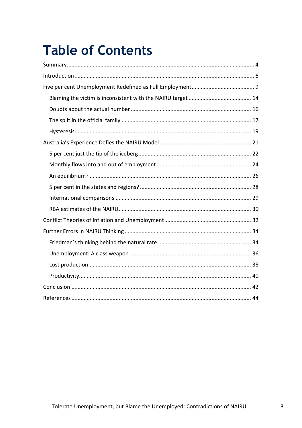# **Table of Contents**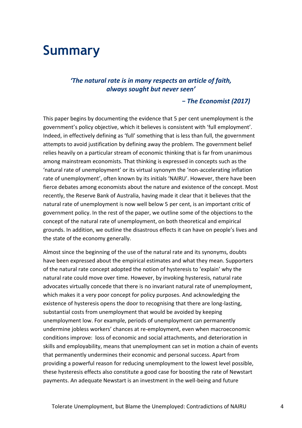## <span id="page-3-0"></span>**Summary**

#### *'The natural rate is in many respects an article of faith, always sought but never seen'*

#### *- The Economist (2017)*

This paper begins by documenting the evidence that 5 per cent unemployment is the government's policy objective, which it believes is consistent with 'full employment'. Indeed, in effectively defining as 'full' something that is less than full, the government attempts to avoid justification by defining away the problem. The government belief relies heavily on a particular stream of economic thinking that is far from unanimous among mainstream economists. That thinking is expressed in concepts such as the 'natural rate of unemployment' or its virtual synonym the 'non-accelerating inflation rate of unemployment', often known by its initials 'NAIRU'. However, there have been fierce debates among economists about the nature and existence of the concept. Most recently, the Reserve Bank of Australia, having made it clear that it believes that the natural rate of unemployment is now well below 5 per cent, is an important critic of government policy. In the rest of the paper, we outline some of the objections to the concept of the natural rate of unemployment, on both theoretical and empirical grounds. In addition, we outline the disastrous effects it can have on people's lives and the state of the economy generally.

Almost since the beginning of the use of the natural rate and its synonyms, doubts have been expressed about the empirical estimates and what they mean. Supporters of the natural rate concept adopted the notion of hysteresis to 'explain' why the natural rate could move over time. However, by invoking hysteresis, natural rate advocates virtually concede that there is no invariant natural rate of unemployment, which makes it a very poor concept for policy purposes. And acknowledging the existence of hysteresis opens the door to recognising that there are long-lasting, substantial costs from unemployment that would be avoided by keeping unemployment low. For example, periods of unemployment can permanently undermine jobless workers' chances at re-employment, even when macroeconomic conditions improve: loss of economic and social attachments, and deterioration in skills and employability, means that unemployment can set in motion a chain of events that permanently undermines their economic and personal success. Apart from providing a powerful reason for reducing unemployment to the lowest level possible, these hysteresis effects also constitute a good case for boosting the rate of Newstart payments. An adequate Newstart is an investment in the well-being and future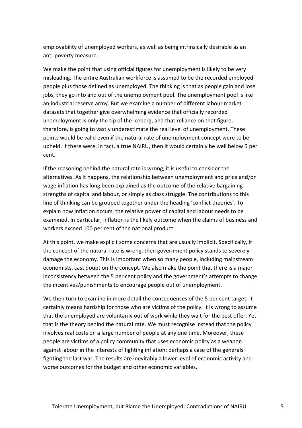employability of unemployed workers, as well as being intrinsically desirable as an anti-poverty measure.

We make the point that using official figures for unemployment is likely to be very misleading. The entire Australian workforce is assumed to be the recorded employed people plus those defined as unemployed. The thinking is that as people gain and lose jobs, they go into and out of the unemployment pool. The unemployment pool is like an industrial reserve army. But we examine a number of different labour market datasets that together give overwhelming evidence that officially recorded unemployment is only the tip of the iceberg, and that reliance on that figure, therefore, is going to vastly underestimate the real level of unemployment. These points would be valid even if the natural rate of unemployment concept were to be upheld. If there were, in fact, a true NAIRU, then it would certainly be well below 5 per cent.

If the reasoning behind the natural rate is wrong, it is useful to consider the alternatives. As it happens, the relationship between unemployment and price and/or wage inflation has long been explained as the outcome of the relative bargaining strengths of capital and labour, or simply as class struggle. The contributions to this line of thinking can be grouped together under the heading 'conflict theories'. To explain how inflation occurs, the relative power of capital and labour needs to be examined. In particular, inflation is the likely outcome when the claims of business and workers exceed 100 per cent of the national product.

At this point, we make explicit some concerns that are usually implicit. Specifically, if the concept of the natural rate is wrong, then government policy stands to severely damage the economy. This is important when so many people, including mainstream economists, cast doubt on the concept. We also make the point that there is a major inconsistency between the 5 per cent policy and the government's attempts to change the incentives/punishments to encourage people out of unemployment.

We then turn to examine in more detail the consequences of the 5 per cent target. It certainly means hardship for those who are victims of the policy. It is wrong to assume that the unemployed are voluntarily out of work while they wait for the best offer. Yet that is the theory behind the natural rate. We must recognise instead that the policy involves real costs on a large number of people at any one time. Moreover, these people are victims of a policy community that uses economic policy as a weapon against labour in the interests of fighting inflation: perhaps a case of the generals fighting the last war. The results are inevitably a lower level of economic activity and worse outcomes for the budget and other economic variables.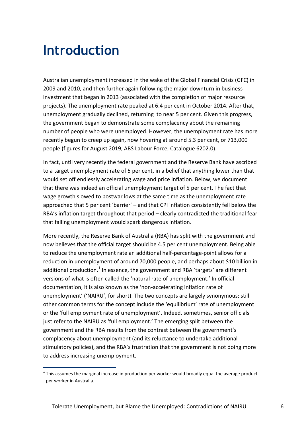# <span id="page-5-0"></span>**Introduction**

1

Australian unemployment increased in the wake of the Global Financial Crisis (GFC) in 2009 and 2010, and then further again following the major downturn in business investment that began in 2013 (associated with the completion of major resource projects). The unemployment rate peaked at 6.4 per cent in October 2014. After that, unemployment gradually declined, returning to near 5 per cent. Given this progress, the government began to demonstrate some complacency about the remaining number of people who were unemployed. However, the unemployment rate has more recently begun to creep up again, now hovering at around 5.3 per cent, or 713,000 people (figures for August 2019, ABS Labour Force, Catalogue 6202.0).

In fact, until very recently the federal government and the Reserve Bank have ascribed to a target unemployment rate of 5 per cent, in a belief that anything lower than that would set off endlessly accelerating wage and price inflation. Below, we document that there was indeed an official unemployment target of 5 per cent. The fact that wage growth slowed to postwar lows at the same time as the unemployment rate approached that 5 per cent 'barrier' – and that CPI inflation consistently fell below the RBA's inflation target throughout that period – clearly contradicted the traditional fear that falling unemployment would spark dangerous inflation.

More recently, the Reserve Bank of Australia (RBA) has split with the government and now believes that the official target should be 4.5 per cent unemployment. Being able to reduce the unemployment rate an additional half-percentage-point allows for a reduction in unemployment of around 70,000 people, and perhaps about \$10 billion in additional production.<sup>1</sup> In essence, the government and RBA 'targets' are different versions of what is often called the 'natural rate of unemployment.' In official documentation, it is also known as the 'non-accelerating inflation rate of unemployment' ('NAIRU', for short). The two concepts are largely synonymous; still other common terms for the concept include the 'equilibrium' rate of unemployment or the 'full employment rate of unemployment'. Indeed, sometimes, senior officials just refer to the NAIRU as 'full employment.' The emerging split between the government and the RBA results from the contrast between the government's complacency about unemployment (and its reluctance to undertake additional stimulatory policies), and the RBA's frustration that the government is not doing more to address increasing unemployment.

 $1$  This assumes the marginal increase in production per worker would broadly equal the average product per worker in Australia.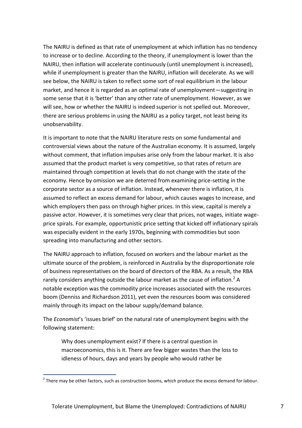The NAIRU is defined as that rate of unemployment at which inflation has no tendency to increase or to decline. According to the theory, if unemployment is lower than the NAIRU, then inflation will accelerate continuously (until unemployment is increased), while if unemployment is greater than the NAIRU, inflation will decelerate. As we will see below, the NAIRU is taken to reflect some sort of real equilibrium in the labour market, and hence it is regarded as an optimal rate of unemployment—suggesting in some sense that it is 'better' than any other rate of unemployment. However, as we will see, how or whether the NAIRU is indeed superior is not spelled out. Moreover, there are serious problems in using the NAIRU as a policy target, not least being its unobservability.

It is important to note that the NAIRU literature rests on some fundamental and controversial views about the nature of the Australian economy. It is assumed, largely without comment, that inflation impulses arise only from the labour market. It is also assumed that the product market is very competitive, so that rates of return are maintained through competition at levels that do not change with the state of the economy. Hence by omission we are deterred from examining price-setting in the corporate sector as a source of inflation. Instead, whenever there is inflation, it is assumed to reflect an excess demand for labour, which causes wages to increase, and which employers then pass on through higher prices. In this view, capital is merely a passive actor. However, it is sometimes very clear that prices, not wages, initiate wageprice spirals. For example, opportunistic price setting that kicked off inflationary spirals was especially evident in the early 1970s, beginning with commodities but soon spreading into manufacturing and other sectors.

The NAIRU approach to inflation, focused on workers and the labour market as the ultimate source of the problem, is reinforced in Australia by the disproportionate role of business representatives on the board of directors of the RBA. As a result, the RBA rarely considers anything outside the labour market as the cause of inflation.<sup>2</sup> A notable exception was the commodity price increases associated with the resources boom (Denniss and Richardson 2011), yet even the resources boom was considered mainly through its impact on the labour supply/demand balance.

The *Economist*'s 'issues brief' on the natural rate of unemployment begins with the following statement:

Why does unemployment exist? If there is a central question in macroeconomics, this is it. There are few bigger wastes than the loss to idleness of hours, days and years by people who would rather be

1

 $2$  There may be other factors, such as construction booms, which produce the excess demand for labour.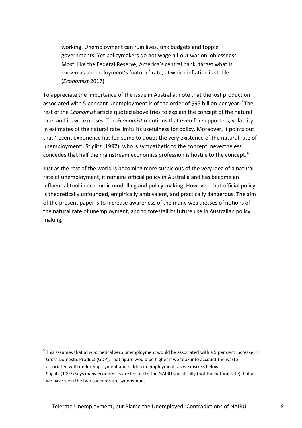working. Unemployment can ruin lives, sink budgets and topple governments. Yet policymakers do not wage all-out war on joblessness. Most, like the Federal Reserve, America's central bank, target what is known as unemployment's 'natural' rate, at which inflation is stable. (*Economist* 2017)

To appreciate the importance of the issue in Australia, note that the lost production associated with 5 per cent unemployment is of the order of \$95 billion per year.<sup>3</sup> The rest of the *Economist* article quoted above tries to explain the concept of the natural rate, and its weaknesses. The *Economist* mentions that even for supporters, volatility in estimates of the natural rate limits its usefulness for policy. Moreover, it points out that 'recent experience has led some to doubt the very existence of the natural rate of unemployment'. Stiglitz (1997), who is sympathetic to the concept, nevertheless concedes that half the mainstream economics profession is hostile to the concept.<sup>4</sup>

Just as the rest of the world is becoming more suspicious of the very idea of a natural rate of unemployment, it remains official policy in Australia and has become an influential tool in economic modelling and policy-making. However, that official policy is theoretically unfounded, empirically ambivalent, and practically dangerous. The aim of the present paper is to increase awareness of the many weaknesses of notions of the natural rate of unemployment, and to forestall its future use in Australian policy making.

1

 $3$  This assumes that a hypothetical zero unemployment would be associated with a 5 per cent increase in Gross Domestic Product (GDP). That figure would be higher if we took into account the waste associated with underemployment and hidden unemployment, as we discuss below.

 $^4$  Stiglitz (1997) says many economists are hostile to the NAIRU specifically (not the natural rate), but as we have seen the two concepts are synonymous.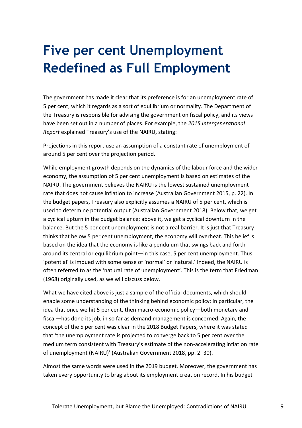# <span id="page-8-0"></span>**Five per cent Unemployment Redefined as Full Employment**

The government has made it clear that its preference is for an unemployment rate of 5 per cent, which it regards as a sort of equilibrium or normality. The Department of the Treasury is responsible for advising the government on fiscal policy, and its views have been set out in a number of places. For example, the *2015 Intergenerational Report* explained Treasury's use of the NAIRU, stating:

Projections in this report use an assumption of a constant rate of unemployment of around 5 per cent over the projection period.

While employment growth depends on the dynamics of the labour force and the wider economy, the assumption of 5 per cent unemployment is based on estimates of the NAIRU. The government believes the NAIRU is the lowest sustained unemployment rate that does not cause inflation to increase (Australian Government 2015, p. 22). In the budget papers, Treasury also explicitly assumes a NAIRU of 5 per cent, which is used to determine potential output (Australian Government 2018). Below that, we get a cyclical upturn in the budget balance; above it, we get a cyclical downturn in the balance. But the 5 per cent unemployment is not a real barrier. It is just that Treasury thinks that below 5 per cent unemployment, the economy will overheat. This belief is based on the idea that the economy is like a pendulum that swings back and forth around its central or equilibrium point—in this case, 5 per cent unemployment. Thus 'potential' is imbued with some sense of 'normal' or 'natural.' Indeed, the NAIRU is often referred to as the 'natural rate of unemployment'. This is the term that Friedman (1968) originally used, as we will discuss below.

What we have cited above is just a sample of the official documents, which should enable some understanding of the thinking behind economic policy: in particular, the idea that once we hit 5 per cent, then macro-economic policy—both monetary and fiscal—has done its job, in so far as demand management is concerned. Again, the concept of the 5 per cent was clear in the 2018 Budget Papers, where it was stated that 'the unemployment rate is projected to converge back to 5 per cent over the medium term consistent with Treasury's estimate of the non-accelerating inflation rate of unemployment (NAIRU)' (Australian Government 2018, pp. 2–30).

Almost the same words were used in the 2019 budget. Moreover, the government has taken every opportunity to brag about its employment creation record. In his budget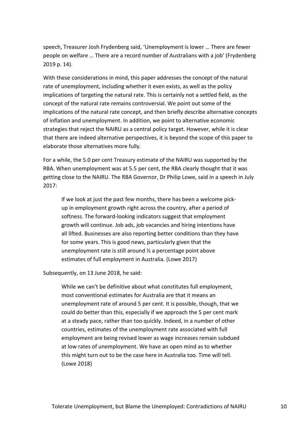speech, Treasurer Josh Frydenberg said, 'Unemployment is lower … There are fewer people on welfare … There are a record number of Australians with a job' (Frydenberg 2019 p. 14).

With these considerations in mind, this paper addresses the concept of the natural rate of unemployment, including whether it even exists, as well as the policy implications of targeting the natural rate. This is certainly not a settled field, as the concept of the natural rate remains controversial. We point out some of the implications of the natural rate concept, and then briefly describe alternative concepts of inflation and unemployment. In addition, we point to alternative economic strategies that reject the NAIRU as a central policy target. However, while it is clear that there are indeed alternative perspectives, it is beyond the scope of this paper to elaborate those alternatives more fully.

For a while, the 5.0 per cent Treasury estimate of the NAIRU was supported by the RBA. When unemployment was at 5.5 per cent, the RBA clearly thought that it was getting close to the NAIRU. The RBA Governor, Dr Philip Lowe, said in a speech in July 2017:

If we look at just the past few months, there has been a welcome pickup in employment growth right across the country, after a period of softness. The forward-looking indicators suggest that employment growth will continue. Job ads, job vacancies and hiring intentions have all lifted. Businesses are also reporting better conditions than they have for some years. This is good news, particularly given that the unemployment rate is still around ½ a percentage point above estimates of full employment in Australia. (Lowe 2017)

Subsequently, on 13 June 2018, he said:

While we can't be definitive about what constitutes full employment, most conventional estimates for Australia are that it means an unemployment rate of around 5 per cent. It is possible, though, that we could do better than this, especially if we approach the 5 per cent mark at a steady pace, rather than too quickly. Indeed, in a number of other countries, estimates of the unemployment rate associated with full employment are being revised lower as wage increases remain subdued at low rates of unemployment. We have an open mind as to whether this might turn out to be the case here in Australia too. Time will tell. (Lowe 2018)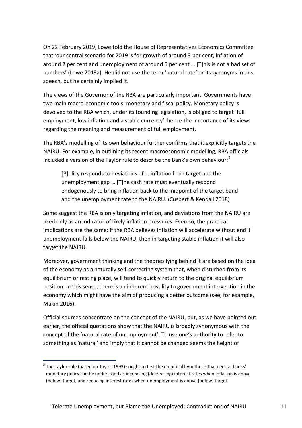On 22 February 2019, Lowe told the House of Representatives Economics Committee that 'our central scenario for 2019 is for growth of around 3 per cent, inflation of around 2 per cent and unemployment of around 5 per cent … [T]his is not a bad set of numbers' (Lowe 2019a). He did not use the term 'natural rate' or its synonyms in this speech, but he certainly implied it.

The views of the Governor of the RBA are particularly important. Governments have two main macro-economic tools: monetary and fiscal policy. Monetary policy is devolved to the RBA which, under its founding legislation, is obliged to target 'full employment, low inflation and a stable currency', hence the importance of its views regarding the meaning and measurement of full employment.

The RBA's modelling of its own behaviour further confirms that it explicitly targets the NAIRU. For example, in outlining its recent macroeconomic modelling, RBA officials included a version of the Taylor rule to describe the Bank's own behaviour:<sup>5</sup>

[P]olicy responds to deviations of … inflation from target and the unemployment gap … [T]he cash rate must eventually respond endogenously to bring inflation back to the midpoint of the target band and the unemployment rate to the NAIRU. (Cusbert & Kendall 2018)

Some suggest the RBA is only targeting inflation, and deviations from the NAIRU are used only as an indicator of likely inflation pressures. Even so, the practical implications are the same: if the RBA believes inflation will accelerate without end if unemployment falls below the NAIRU, then in targeting stable inflation it will also target the NAIRU.

Moreover, government thinking and the theories lying behind it are based on the idea of the economy as a naturally self-correcting system that, when disturbed from its equilibrium or resting place, will tend to quickly return to the original equilibrium position. In this sense, there is an inherent hostility to government intervention in the economy which might have the aim of producing a better outcome (see, for example, Makin 2016).

Official sources concentrate on the concept of the NAIRU, but, as we have pointed out earlier, the official quotations show that the NAIRU is broadly synonymous with the concept of the 'natural rate of unemployment'. To use one's authority to refer to something as 'natural' and imply that it cannot be changed seems the height of

<sup>1</sup> <sup>5</sup> The Taylor rule (based on Taylor 1993) sought to test the empirical hypothesis that central banks' monetary policy can be understood as increasing (decreasing) interest rates when inflation is above (below) target, and reducing interest rates when unemployment is above (below) target.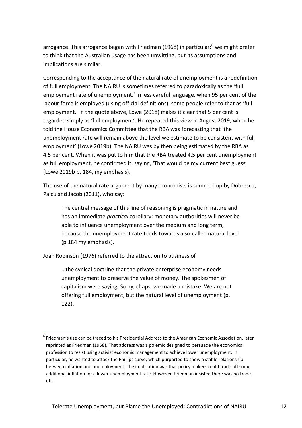arrogance. This arrogance began with Friedman (1968) in particular; $<sup>6</sup>$  we might prefer</sup> to think that the Australian usage has been unwitting, but its assumptions and implications are similar.

Corresponding to the acceptance of the natural rate of unemployment is a redefinition of full employment. The NAIRU is sometimes referred to paradoxically as the 'full employment rate of unemployment.' In less careful language, when 95 per cent of the labour force is employed (using official definitions), some people refer to that as 'full employment.' In the quote above, Lowe (2018) makes it clear that 5 per cent is regarded simply as 'full employment'. He repeated this view in August 2019, when he told the House Economics Committee that the RBA was forecasting that 'the unemployment rate will remain above the level we estimate to be consistent with full employment' (Lowe 2019b). The NAIRU was by then being estimated by the RBA as 4.5 per cent. When it was put to him that the RBA treated 4.5 per cent unemployment as full employment, he confirmed it, saying, 'That would be my current best guess' (Lowe 2019b p. 184, my emphasis).

The use of the natural rate argument by many economists is summed up by Dobrescu, Paicu and Jacob (2011), who say:

The central message of this line of reasoning is pragmatic in nature and has an immediate *practical* corollary: monetary authorities will never be able to influence unemployment over the medium and long term, because the unemployment rate tends towards a so-called natural level (p 184 my emphasis).

Joan Robinson (1976) referred to the attraction to business of

1

…the cynical doctrine that the private enterprise economy needs unemployment to preserve the value of money. The spokesmen of capitalism were saying: Sorry, chaps, we made a mistake. We are not offering full employment, but the natural level of unemployment (p. 122).

<sup>6</sup> Friedman's use can be traced to his Presidential Address to the American Economic Association, later reprinted as Friedman (1968). That address was a polemic designed to persuade the economics profession to resist using activist economic management to achieve lower unemployment. In particular, he wanted to attack the Phillips curve, which purported to show a stable relationship between inflation and unemployment. The implication was that policy makers could trade off some additional inflation for a lower unemployment rate. However, Friedman insisted there was no tradeoff.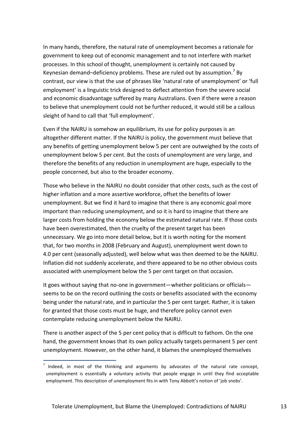In many hands, therefore, the natural rate of unemployment becomes a rationale for government to keep out of economic management and to not interfere with market processes. In this school of thought, unemployment is certainly not caused by Keynesian demand-deficiency problems. These are ruled out by assumption.<sup>7</sup> By contrast, our view is that the use of phrases like 'natural rate of unemployment' or 'full employment' is a linguistic trick designed to deflect attention from the severe social and economic disadvantage suffered by many Australians. Even if there were a reason to believe that unemployment could not be further reduced, it would still be a callous sleight of hand to call that 'full employment'.

Even if the NAIRU is somehow an equilibrium, its use for policy purposes is an altogether different matter. If the NAIRU is policy, the government must believe that any benefits of getting unemployment below 5 per cent are outweighed by the costs of unemployment below 5 per cent. But the costs of unemployment are very large, and therefore the benefits of any reduction in unemployment are huge, especially to the people concerned, but also to the broader economy.

Those who believe in the NAIRU no doubt consider that other costs, such as the cost of higher inflation and a more assertive workforce, offset the benefits of lower unemployment. But we find it hard to imagine that there is any economic goal more important than reducing unemployment, and so it is hard to imagine that there are larger costs from holding the economy below the estimated natural rate. If those costs have been overestimated, then the cruelty of the present target has been unnecessary. We go into more detail below, but it is worth noting for the moment that, for two months in 2008 (February and August), unemployment went down to 4.0 per cent (seasonally adjusted), well below what was then deemed to be the NAIRU. Inflation did not suddenly accelerate, and there appeared to be no other obvious costs associated with unemployment below the 5 per cent target on that occasion.

It goes without saying that no-one in government—whether politicians or officials seems to be on the record outlining the costs or benefits associated with the economy being under the natural rate, and in particular the 5 per cent target. Rather, it is taken for granted that those costs must be huge, and therefore policy cannot even contemplate reducing unemployment below the NAIRU.

There is another aspect of the 5 per cent policy that is difficult to fathom. On the one hand, the government knows that its own policy actually targets permanent 5 per cent unemployment. However, on the other hand, it blames the unemployed themselves

1

 $<sup>7</sup>$  Indeed, in most of the thinking and arguments by advocates of the natural rate concept,</sup> unemployment is essentially a voluntary activity that people engage in until they find acceptable employment. This description of unemployment fits in with Tony Abbott's notion of 'job snobs'.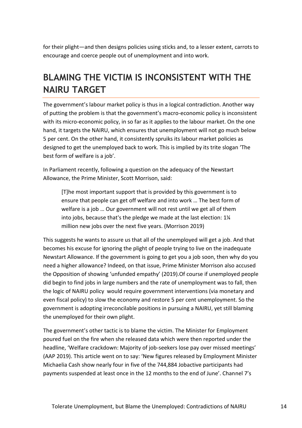for their plight—and then designs policies using sticks and, to a lesser extent, carrots to encourage and coerce people out of unemployment and into work.

## <span id="page-13-0"></span>**BLAMING THE VICTIM IS INCONSISTENT WITH THE NAIRU TARGET**

The government's labour market policy is thus in a logical contradiction. Another way of putting the problem is that the government's macro-economic policy is inconsistent with its micro-economic policy, in so far as it applies to the labour market. On the one hand, it targets the NAIRU, which ensures that unemployment will not go much below 5 per cent. On the other hand, it consistently spruiks its labour market policies as designed to get the unemployed back to work. This is implied by its trite slogan 'The best form of welfare is a job'.

In Parliament recently, following a question on the adequacy of the Newstart Allowance, the Prime Minister, Scott Morrison, said:

[T]he most important support that is provided by this government is to ensure that people can get off welfare and into work … The best form of welfare is a job … Our government will not rest until we get all of them into jobs, because that's the pledge we made at the last election: 1¼ million new jobs over the next five years. (Morrison 2019)

This suggests he wants to assure us that all of the unemployed will get a job. And that becomes his excuse for ignoring the plight of people trying to live on the inadequate Newstart Allowance. If the government is going to get you a job soon, then why do you need a higher allowance? Indeed, on that issue, Prime Minister Morrison also accused the Opposition of showing 'unfunded empathy' (2019).Of course if unemployed people did begin to find jobs in large numbers and the rate of unemployment was to fall, then the logic of NAIRU policy would require government interventions (via monetary and even fiscal policy) to slow the economy and restore 5 per cent unemployment. So the government is adopting irreconcilable positions in pursuing a NAIRU, yet still blaming the unemployed for their own plight.

The government's other tactic is to blame the victim. The Minister for Employment poured fuel on the fire when she released data which were then reported under the headline, 'Welfare crackdown: Majority of job-seekers lose pay over missed meetings' (AAP 2019). This article went on to say: 'New figures released by Employment Minister Michaelia Cash show nearly four in five of the 744,884 Jobactive participants had payments suspended at least once in the 12 months to the end of June'. Channel 7's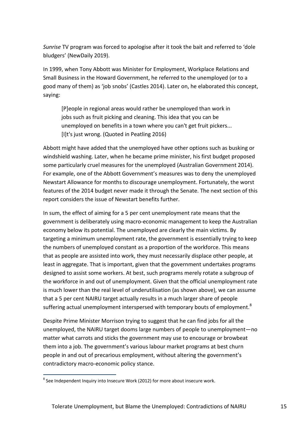*Sunrise* TV program was forced to apologise after it took the bait and referred to 'dole bludgers' (NewDaily 2019).

In 1999, when Tony Abbott was Minister for Employment, Workplace Relations and Small Business in the Howard Government, he referred to the unemployed (or to a good many of them) as 'job snobs' (Castles 2014). Later on, he elaborated this concept, saying:

[P]eople in regional areas would rather be unemployed than work in jobs such as fruit picking and cleaning. This idea that you can be unemployed on benefits in a town where you can't get fruit pickers... [I]t's just wrong. (Quoted in Peatling 2016)

Abbott might have added that the unemployed have other options such as busking or windshield washing. Later, when he became prime minister, his first budget proposed some particularly cruel measures for the unemployed (Australian Government 2014). For example, one of the Abbott Government's measures was to deny the unemployed Newstart Allowance for months to discourage unemployment. Fortunately, the worst features of the 2014 budget never made it through the Senate. The next section of this report considers the issue of Newstart benefits further.

In sum, the effect of aiming for a 5 per cent unemployment rate means that the government is deliberately using macro-economic management to keep the Australian economy below its potential. The unemployed are clearly the main victims. By targeting a minimum unemployment rate, the government is essentially trying to keep the numbers of unemployed constant as a proportion of the workforce. This means that as people are assisted into work, they must necessarily displace other people, at least in aggregate. That is important, given that the government undertakes programs designed to assist some workers. At best, such programs merely rotate a subgroup of the workforce in and out of unemployment. Given that the official unemployment rate is much lower than the real level of underutilisation (as shown above), we can assume that a 5 per cent NAIRU target actually results in a much larger share of people suffering actual unemployment interspersed with temporary bouts of employment.<sup>8</sup>

Despite Prime Minister Morrison trying to suggest that he can find jobs for all the unemployed, the NAIRU target dooms large numbers of people to unemployment—no matter what carrots and sticks the government may use to encourage or browbeat them into a job. The government's various labour market programs at best churn people in and out of precarious employment, without altering the government's contradictory macro-economic policy stance.

1

 $^8$  See Independent Inquiry into Insecure Work (2012) for more about insecure work.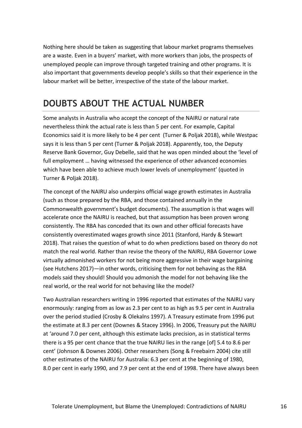Nothing here should be taken as suggesting that labour market programs themselves are a waste. Even in a buyers' market, with more workers than jobs, the prospects of unemployed people can improve through targeted training and other programs. It is also important that governments develop people's skills so that their experience in the labour market will be better, irrespective of the state of the labour market.

#### <span id="page-15-0"></span>**DOUBTS ABOUT THE ACTUAL NUMBER**

Some analysts in Australia who accept the concept of the NAIRU or natural rate nevertheless think the actual rate is less than 5 per cent. For example, Capital Economics said it is more likely to be 4 per cent (Turner & Poljak 2018), while Westpac says it is less than 5 per cent (Turner & Poljak 2018). Apparently, too, the Deputy Reserve Bank Governor, Guy Debelle, said that he was open minded about the 'level of full employment … having witnessed the experience of other advanced economies which have been able to achieve much lower levels of unemployment' (quoted in Turner & Poliak 2018).

The concept of the NAIRU also underpins official wage growth estimates in Australia (such as those prepared by the RBA, and those contained annually in the Commonwealth government's budget documents). The assumption is that wages will accelerate once the NAIRU is reached, but that assumption has been proven wrong consistently. The RBA has conceded that its own and other official forecasts have consistently overestimated wages growth since 2011 (Stanford, Hardy & Stewart 2018). That raises the question of what to do when predictions based on theory do not match the real world. Rather than revise the theory of the NAIRU, RBA Governor Lowe virtually admonished workers for not being more aggressive in their wage bargaining (see Hutchens 2017)—in other words, criticising them for not behaving as the RBA models said they should! Should you admonish the model for not behaving like the real world, or the real world for not behaving like the model?

Two Australian researchers writing in 1996 reported that estimates of the NAIRU vary enormously: ranging from as low as 2.3 per cent to as high as 9.5 per cent in Australia over the period studied (Crosby & Olekalns 1997). A Treasury estimate from 1996 put the estimate at 8.3 per cent (Downes & Stacey 1996). In 2006, Treasury put the NAIRU at 'around 7.0 per cent, although this estimate lacks precision, as in statistical terms there is a 95 per cent chance that the true NAIRU lies in the range [of] 5.4 to 8.6 per cent' (Johnson & Downes 2006). Other researchers (Song & Freebairn 2004) cite still other estimates of the NAIRU for Australia: 6.3 per cent at the beginning of 1980, 8.0 per cent in early 1990, and 7.9 per cent at the end of 1998. There have always been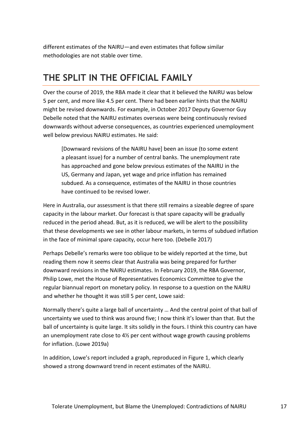different estimates of the NAIRU—and even estimates that follow similar methodologies are not stable over time.

## <span id="page-16-0"></span>**THE SPLIT IN THE OFFICIAL FAMILY**

Over the course of 2019, the RBA made it clear that it believed the NAIRU was below 5 per cent, and more like 4.5 per cent. There had been earlier hints that the NAIRU might be revised downwards. For example, in October 2017 Deputy Governor Guy Debelle noted that the NAIRU estimates overseas were being continuously revised downwards without adverse consequences, as countries experienced unemployment well below previous NAIRU estimates. He said:

[Downward revisions of the NAIRU have] been an issue (to some extent a pleasant issue) for a number of central banks. The unemployment rate has approached and gone below previous estimates of the NAIRU in the US, Germany and Japan, yet wage and price inflation has remained subdued. As a consequence, estimates of the NAIRU in those countries have continued to be revised lower.

Here in Australia, our assessment is that there still remains a sizeable degree of spare capacity in the labour market. Our forecast is that spare capacity will be gradually reduced in the period ahead. But, as it is reduced, we will be alert to the possibility that these developments we see in other labour markets, in terms of subdued inflation in the face of minimal spare capacity, occur here too. (Debelle 2017)

Perhaps Debelle's remarks were too oblique to be widely reported at the time, but reading them now it seems clear that Australia was being prepared for further downward revisions in the NAIRU estimates. In February 2019, the RBA Governor, Philip Lowe, met the House of Representatives Economics Committee to give the regular biannual report on monetary policy. In response to a question on the NAIRU and whether he thought it was still 5 per cent, Lowe said:

Normally there's quite a large ball of uncertainty … And the central point of that ball of uncertainty we used to think was around five; I now think it's lower than that. But the ball of uncertainty is quite large. It sits solidly in the fours. I think this country can have an unemployment rate close to 4½ per cent without wage growth causing problems for inflation. (Lowe 2019a)

In addition, Lowe's report included a graph, reproduced in Figure 1, which clearly showed a strong downward trend in recent estimates of the NAIRU.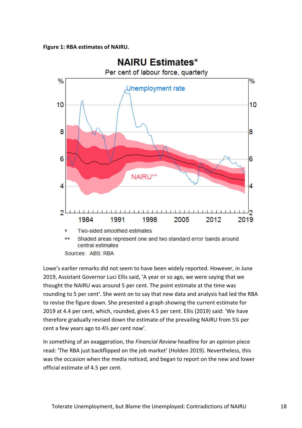

Sources: ABS; RBA

Lowe's earlier remarks did not seem to have been widely reported. However, in June 2019, Assistant Governor Luci Ellis said, 'A year or so ago, we were saying that we thought the NAIRU was around 5 per cent. The point estimate at the time was rounding to 5 per cent'. She went on to say that new data and analysis had led the RBA to revise the figure down. She presented a graph showing the current estimate for 2019 at 4.4 per cent, which, rounded, gives 4.5 per cent. Ellis (2019) said: 'We have therefore gradually revised down the estimate of the prevailing NAIRU from 5¼ per cent a few years ago to 4½ per cent now'.

In something of an exaggeration, the *Financial Review* headline for an opinion piece read: 'The RBA just backflipped on the job market' (Holden 2019). Nevertheless, this was the occasion when the media noticed, and began to report on the new and lower official estimate of 4.5 per cent.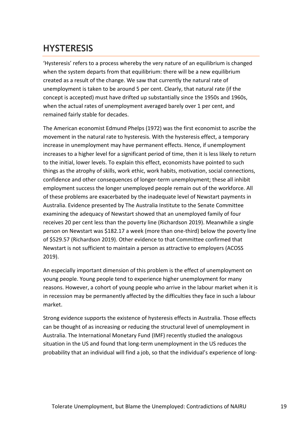## <span id="page-18-0"></span>**HYSTERESIS**

'Hysteresis' refers to a process whereby the very nature of an equilibrium is changed when the system departs from that equilibrium: there will be a new equilibrium created as a result of the change. We saw that currently the natural rate of unemployment is taken to be around 5 per cent. Clearly, that natural rate (if the concept is accepted) must have drifted up substantially since the 1950s and 1960s, when the actual rates of unemployment averaged barely over 1 per cent, and remained fairly stable for decades.

The American economist Edmund Phelps (1972) was the first economist to ascribe the movement in the natural rate to hysteresis. With the hysteresis effect, a temporary increase in unemployment may have permanent effects. Hence, if unemployment increases to a higher level for a significant period of time, then it is less likely to return to the initial, lower levels. To explain this effect, economists have pointed to such things as the atrophy of skills, work ethic, work habits, motivation, social connections, confidence and other consequences of longer-term unemployment; these all inhibit employment success the longer unemployed people remain out of the workforce. All of these problems are exacerbated by the inadequate level of Newstart payments in Australia. Evidence presented by The Australia Institute to the Senate Committee examining the adequacy of Newstart showed that an unemployed family of four receives 20 per cent less than the poverty line (Richardson 2019). Meanwhile a single person on Newstart was \$182.17 a week (more than one-third) below the poverty line of \$529.57 (Richardson 2019). Other evidence to that Committee confirmed that Newstart is not sufficient to maintain a person as attractive to employers (ACOSS 2019).

An especially important dimension of this problem is the effect of unemployment on young people. Young people tend to experience higher unemployment for many reasons. However, a cohort of young people who arrive in the labour market when it is in recession may be permanently affected by the difficulties they face in such a labour market.

Strong evidence supports the existence of hysteresis effects in Australia. Those effects can be thought of as increasing or reducing the structural level of unemployment in Australia. The International Monetary Fund (IMF) recently studied the analogous situation in the US and found that long-term unemployment in the US reduces the probability that an individual will find a job, so that the individual's experience of long-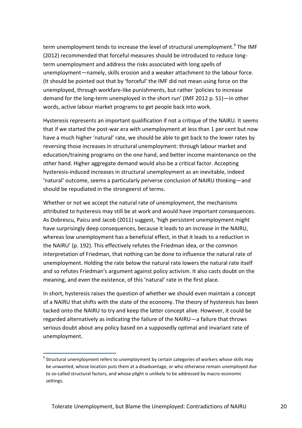term unemployment tends to increase the level of structural unemployment.<sup>9</sup> The IMF (2012) recommended that forceful measures should be introduced to reduce longterm unemployment and address the risks associated with long spells of unemployment—namely, skills erosion and a weaker attachment to the labour force. (It should be pointed out that by 'forceful' the IMF did not mean using force on the unemployed, through workfare-like punishments, but rather 'policies to increase demand for the long-term unemployed in the short run' (IMF 2012 p. 51)—in other words, active labour market programs to get people back into work.

Hysteresis represents an important qualification if not a critique of the NAIRU. It seems that if we started the post-war era with unemployment at less than 1 per cent but now have a much higher 'natural' rate, we should be able to get back to the lower rates by reversing those increases in structural unemployment: through labour market and education/training programs on the one hand, and better income maintenance on the other hand. Higher aggregate demand would also be a critical factor. Accepting hysteresis-induced increases in structural unemployment as an inevitable, indeed 'natural' outcome, seems a particularly perverse conclusion of NAIRU thinking—and should be repudiated in the strongeerst of terms.

Whether or not we accept the natural rate of unemployment, the mechanisms attributed to hysteresis may still be at work and would have important consequences. As Dobrescu, Paicu and Jacob (2011) suggest, 'high persistent unemployment might have surprisingly deep consequences, because it leads to an increase in the NAIRU, whereas low unemployment has a beneficial effect, in that it leads to a reduction in the NAIRU' (p. 192). This effectively refutes the Friedman idea, or the common interpretation of Friedman, that nothing can be done to influence the natural rate of unemployment. Holding the rate below the natural rate lowers the natural rate itself and so refutes Friedman's argument against policy activism. It also casts doubt on the meaning, and even the existence, of this 'natural' rate in the first place.

In short, hysteresis raises the question of whether we should even maintain a concept of a NAIRU that shifts with the state of the economy. The theory of hysteresis has been tacked onto the NAIRU to try and keep the latter concept alive. However, it could be regarded alternatively as indicating the failure of the NAIRU—a failure that throws serious doubt about any policy based on a supposedly optimal and invariant rate of unemployment.

1

 $^9$  Structural unemployment refers to unemployment by certain categories of workers whose skills may be unwanted, whose location puts them at a disadvantage, or who otherwise remain unemployed due to so-called structural factors, and whose plight is unlikely to be addressed by macro-economic settings.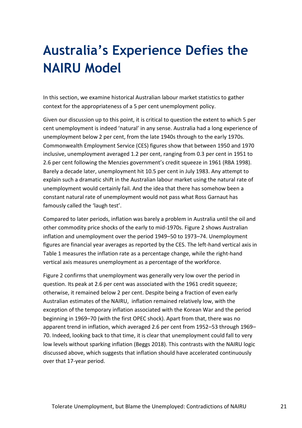# <span id="page-20-0"></span>**Australia's Experience Defies the NAIRU Model**

In this section, we examine historical Australian labour market statistics to gather context for the appropriateness of a 5 per cent unemployment policy.

Given our discussion up to this point, it is critical to question the extent to which 5 per cent unemployment is indeed 'natural' in any sense. Australia had a long experience of unemployment below 2 per cent, from the late 1940s through to the early 1970s. Commonwealth Employment Service (CES) figures show that between 1950 and 1970 inclusive, unemployment averaged 1.2 per cent, ranging from 0.3 per cent in 1951 to 2.6 per cent following the Menzies government's credit squeeze in 1961 (RBA 1998). Barely a decade later, unemployment hit 10.5 per cent in July 1983. Any attempt to explain such a dramatic shift in the Australian labour market using the natural rate of unemployment would certainly fail. And the idea that there has somehow been a constant natural rate of unemployment would not pass what Ross Garnaut has famously called the 'laugh test'.

Compared to later periods, inflation was barely a problem in Australia until the oil and other commodity price shocks of the early to mid-1970s. Figure 2 shows Australian inflation and unemployment over the period 1949–50 to 1973–74. Unemployment figures are financial year averages as reported by the CES. The left-hand vertical axis in Table 1 measures the inflation rate as a percentage change, while the right-hand vertical axis measures unemployment as a percentage of the workforce.

Figure 2 confirms that unemployment was generally very low over the period in question. Its peak at 2.6 per cent was associated with the 1961 credit squeeze; otherwise, it remained below 2 per cent. Despite being a fraction of even early Australian estimates of the NAIRU, inflation remained relatively low, with the exception of the temporary inflation associated with the Korean War and the period beginning in 1969–70 (with the first OPEC shock). Apart from that, there was no apparent trend in inflation, which averaged 2.6 per cent from 1952–53 through 1969– 70. Indeed, looking back to that time, it is clear that unemployment could fall to very low levels without sparking inflation (Beggs 2018). This contrasts with the NAIRU logic discussed above, which suggests that inflation should have accelerated continuously over that 17-year period.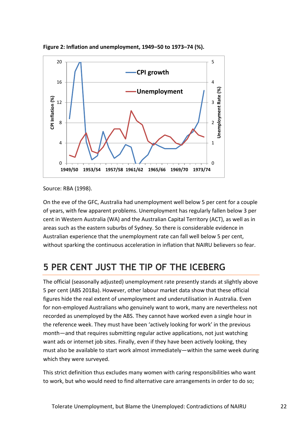

**Figure 2: Inflation and unemployment, 1949–50 to 1973–74 (%).**

Source: RBA (1998).

On the eve of the GFC, Australia had unemployment well below 5 per cent for a couple of years, with few apparent problems. Unemployment has regularly fallen below 3 per cent in Western Australia (WA) and the Australian Capital Territory (ACT), as well as in areas such as the eastern suburbs of Sydney. So there is considerable evidence in Australian experience that the unemployment rate can fall well below 5 per cent, without sparking the continuous acceleration in inflation that NAIRU believers so fear.

## <span id="page-21-0"></span>**5 PER CENT JUST THE TIP OF THE ICEBERG**

The official (seasonally adjusted) unemployment rate presently stands at slightly above 5 per cent (ABS 2018a). However, other labour market data show that these official figures hide the real extent of unemployment and underutilisation in Australia. Even for non-employed Australians who genuinely want to work, many are nevertheless not recorded as unemployed by the ABS. They cannot have worked even a single hour in the reference week. They must have been 'actively looking for work' in the previous month—and that requires submitting regular active applications, not just watching want ads or internet job sites. Finally, even if they have been actively looking, they must also be available to start work almost immediately—within the same week during which they were surveyed.

This strict definition thus excludes many women with caring responsibilities who want to work, but who would need to find alternative care arrangements in order to do so;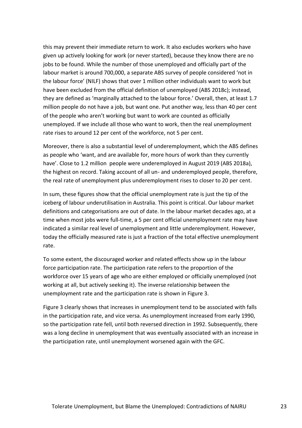this may prevent their immediate return to work. It also excludes workers who have given up actively looking for work (or never started), because they know there are no jobs to be found. While the number of those unemployed and officially part of the labour market is around 700,000, a separate ABS survey of people considered 'not in the labour force' (NILF) shows that over 1 million other individuals want to work but have been excluded from the official definition of unemployed (ABS 2018c); instead, they are defined as 'marginally attached to the labour force.' Overall, then, at least 1.7 million people do not have a job, but want one. Put another way, less than 40 per cent of the people who aren't working but want to work are counted as officially unemployed. If we include all those who want to work, then the real unemployment rate rises to around 12 per cent of the workforce, not 5 per cent.

Moreover, there is also a substantial level of underemployment, which the ABS defines as people who 'want, and are available for, more hours of work than they currently have'. Close to 1.2 million people were underemployed in August 2019 (ABS 2018a), the highest on record. Taking account of all un- and underemployed people, therefore, the real rate of unemployment plus underemployment rises to closer to 20 per cent.

In sum, these figures show that the official unemployment rate is just the tip of the iceberg of labour underutilisation in Australia. This point is critical. Our labour market definitions and categorisations are out of date. In the labour market decades ago, at a time when most jobs were full-time, a 5 per cent official unemployment rate may have indicated a similar real level of unemployment and little underemployment. However, today the officially measured rate is just a fraction of the total effective unemployment rate.

To some extent, the discouraged worker and related effects show up in the labour force participation rate. The participation rate refers to the proportion of the workforce over 15 years of age who are either employed or officially unemployed (not working at all, but actively seeking it). The inverse relationship between the unemployment rate and the participation rate is shown in Figure 3.

Figure 3 clearly shows that increases in unemployment tend to be associated with falls in the participation rate, and vice versa. As unemployment increased from early 1990, so the participation rate fell, until both reversed direction in 1992. Subsequently, there was a long decline in unemployment that was eventually associated with an increase in the participation rate, until unemployment worsened again with the GFC.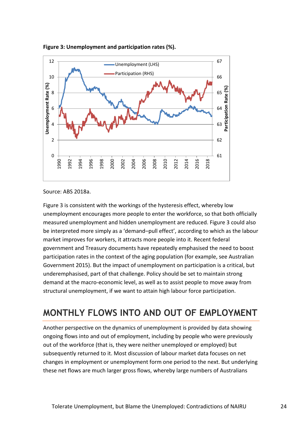

**Figure 3: Unemployment and participation rates (%).**

Source: ABS 2018a.

Figure 3 is consistent with the workings of the hysteresis effect, whereby low unemployment encourages more people to enter the workforce, so that both officially measured unemployment and hidden unemployment are reduced. Figure 3 could also be interpreted more simply as a 'demand–pull effect', according to which as the labour market improves for workers, it attracts more people into it. Recent federal government and Treasury documents have repeatedly emphasised the need to boost participation rates in the context of the aging population (for example, see Australian Government 2015). But the impact of unemployment on participation is a critical, but underemphasised, part of that challenge. Policy should be set to maintain strong demand at the macro-economic level, as well as to assist people to move away from structural unemployment, if we want to attain high labour force participation.

## <span id="page-23-0"></span>**MONTHLY FLOWS INTO AND OUT OF EMPLOYMENT**

Another perspective on the dynamics of unemployment is provided by data showing ongoing flows into and out of employment, including by people who were previously out of the workforce (that is, they were neither unemployed or employed) but subsequently returned to it. Most discussion of labour market data focuses on net changes in employment or unemployment form one period to the next. But underlying these net flows are much larger gross flows, whereby large numbers of Australians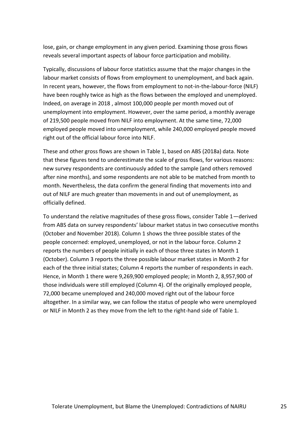lose, gain, or change employment in any given period. Examining those gross flows reveals several important aspects of labour force participation and mobility.

Typically, discussions of labour force statistics assume that the major changes in the labour market consists of flows from employment to unemployment, and back again. In recent years, however, the flows from employment to not-in-the-labour-force (NILF) have been roughly twice as high as the flows between the employed and unemployed. Indeed, on average in 2018 , almost 100,000 people per month moved out of unemployment into employment. However, over the same period, a monthly average of 219,500 people moved from NILF into employment. At the same time, 72,000 employed people moved into unemployment, while 240,000 employed people moved right out of the official labour force into NILF.

These and other gross flows are shown in Table 1, based on ABS (2018a) data. Note that these figures tend to underestimate the scale of gross flows, for various reasons: new survey respondents are continuously added to the sample (and others removed after nine months), and some respondents are not able to be matched from month to month. Nevertheless, the data confirm the general finding that movements into and out of NILF are much greater than movements in and out of unemployment, as officially defined.

To understand the relative magnitudes of these gross flows, consider Table 1—derived from ABS data on survey respondents' labour market status in two consecutive months (October and November 2018). Column 1 shows the three possible states of the people concerned: employed, unemployed, or not in the labour force. Column 2 reports the numbers of people initially in each of those three states in Month 1 (October). Column 3 reports the three possible labour market states in Month 2 for each of the three initial states; Column 4 reports the number of respondents in each. Hence, in Month 1 there were 9,269,900 employed people; in Month 2, 8,957,900 of those individuals were still employed (Column 4). Of the originally employed people, 72,000 became unemployed and 240,000 moved right out of the labour force altogether. In a similar way, we can follow the status of people who were unemployed or NILF in Month 2 as they move from the left to the right-hand side of Table 1.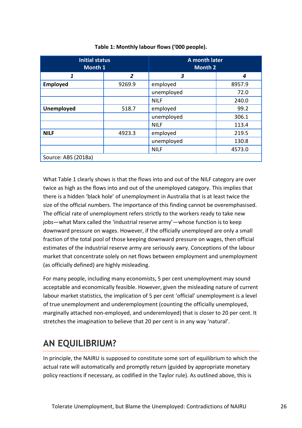| <b>Initial status</b><br>Month 1 |                | A month later<br><b>Month 2</b> |        |  |
|----------------------------------|----------------|---------------------------------|--------|--|
| 1                                | $\overline{2}$ | 3                               | 4      |  |
| Employed                         | 9269.9         | employed                        | 8957.9 |  |
|                                  |                | unemployed                      | 72.0   |  |
|                                  |                | <b>NILF</b>                     | 240.0  |  |
| <b>Unemployed</b>                | 518.7          | employed                        | 99.2   |  |
|                                  |                | unemployed                      | 306.1  |  |
|                                  |                | <b>NILF</b>                     | 113.4  |  |
| <b>NILF</b>                      | 4923.3         | employed                        | 219.5  |  |
|                                  |                | unemployed                      | 130.8  |  |
|                                  |                | <b>NILF</b>                     | 4573.0 |  |
| Source: ABS (2018a)              |                |                                 |        |  |

#### **Table 1: Monthly labour flows ('000 people).**

What Table 1 clearly shows is that the flows into and out of the NILF category are over twice as high as the flows into and out of the unemployed category. This implies that there is a hidden 'black hole' of unemployment in Australia that is at least twice the size of the official numbers. The importance of this finding cannot be overemphasised. The official rate of unemployment refers strictly to the workers ready to take new jobs—what Marx called the 'industrial reserve army'—whose function is to keep downward pressure on wages. However, if the officially unemployed are only a small fraction of the total pool of those keeping downward pressure on wages, then official estimates of the industrial reserve army are seriously awry. Conceptions of the labour market that concentrate solely on net flows between employment and unemployment (as officially defined) are highly misleading.

For many people, including many economists, 5 per cent unemployment may sound acceptable and economically feasible. However, given the misleading nature of current labour market statistics, the implication of 5 per cent 'official' unemployment is a level of true unemployment and underemployment (counting the officially unemployed, marginally attached non-employed, and underemloyed) that is closer to 20 per cent. It stretches the imagination to believe that 20 per cent is in any way 'natural'.

## <span id="page-25-0"></span>**AN EQUILIBRIUM?**

In principle, the NAIRU is supposed to constitute some sort of equilibrium to which the actual rate will automatically and promptly return (guided by appropriate monetary policy reactions if necessary, as codified in the Taylor rule). As outlined above, this is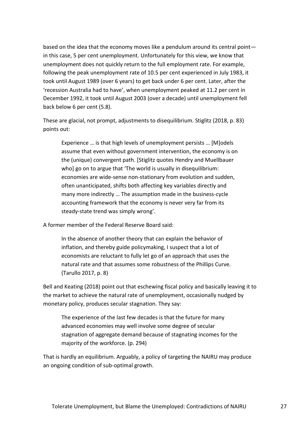based on the idea that the economy moves like a pendulum around its central point in this case, 5 per cent unemployment. Unfortunately for this view, we know that unemployment does not quickly return to the full employment rate. For example, following the peak unemployment rate of 10.5 per cent experienced in July 1983, it took until August 1989 (over 6 years) to get back under 6 per cent. Later, after the 'recession Australia had to have', when unemployment peaked at 11.2 per cent in December 1992, it took until August 2003 (over a decade) until unemployment fell back below 6 per cent (5.8).

These are glacial, not prompt, adjustments to disequilibrium. Stiglitz (2018, p. 83) points out:

Experience … is that high levels of unemployment persists … [M]odels assume that even without government intervention, the economy is on the (unique) convergent path. [Stiglitz quotes Hendry and Muellbauer who] go on to argue that 'The world is usually in disequilibrium: economies are wide-sense non-stationary from evolution and sudden, often unanticipated, shifts both affecting key variables directly and many more indirectly … The assumption made in the business-cycle accounting framework that the economy is never very far from its steady-state trend was simply wrong'.

A former member of the Federal Reserve Board said:

In the absence of another theory that can explain the behavior of inflation, and thereby guide policymaking, I suspect that a lot of economists are reluctant to fully let go of an approach that uses the natural rate and that assumes some robustness of the Phillips Curve. (Tarullo 2017, p. 8)

Bell and Keating (2018) point out that eschewing fiscal policy and basically leaving it to the market to achieve the natural rate of unemployment, occasionally nudged by monetary policy, produces secular stagnation. They say:

The experience of the last few decades is that the future for many advanced economies may well involve some degree of secular stagnation of aggregate demand because of stagnating incomes for the majority of the workforce. (p. 294)

That is hardly an equilibrium. Arguably, a policy of targeting the NAIRU may produce an ongoing condition of sub-optimal growth.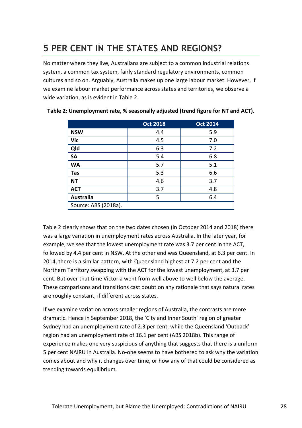## <span id="page-27-0"></span>**5 PER CENT IN THE STATES AND REGIONS?**

No matter where they live, Australians are subject to a common industrial relations system, a common tax system, fairly standard regulatory environments, common cultures and so on. Arguably, Australia makes up one large labour market. However, if we examine labour market performance across states and territories, we observe a wide variation, as is evident in Table 2.

|                      | <b>Oct 2018</b> | <b>Oct 2014</b> |
|----------------------|-----------------|-----------------|
| <b>NSW</b>           | 4.4             | 5.9             |
| Vic                  | 4.5             | 7.0             |
| Qld                  | 6.3             | 7.2             |
| <b>SA</b>            | 5.4             | 6.8             |
| <b>WA</b>            | 5.7             | 5.1             |
| <b>Tas</b>           | 5.3             | 6.6             |
| <b>NT</b>            | 4.6             | 3.7             |
| <b>ACT</b>           | 3.7             | 4.8             |
| <b>Australia</b>     | 5               | 6.4             |
| Source: ABS (2018a). |                 |                 |

#### **Table 2: Unemployment rate, % seasonally adjusted (trend figure for NT and ACT).**

Table 2 clearly shows that on the two dates chosen (in October 2014 and 2018) there was a large variation in unemployment rates across Australia. In the later year, for example, we see that the lowest unemployment rate was 3.7 per cent in the ACT, followed by 4.4 per cent in NSW. At the other end was Queensland, at 6.3 per cent. In 2014, there is a similar pattern, with Queensland highest at 7.2 per cent and the Northern Territory swapping with the ACT for the lowest unemployment, at 3.7 per cent. But over that time Victoria went from well above to well below the average. These comparisons and transitions cast doubt on any rationale that says natural rates are roughly constant, if different across states.

If we examine variation across smaller regions of Australia, the contrasts are more dramatic. Hence in September 2018, the 'City and Inner South' region of greater Sydney had an unemployment rate of 2.3 per cent, while the Queensland 'Outback' region had an unemployment rate of 16.1 per cent (ABS 2018b). This range of experience makes one very suspicious of anything that suggests that there is a uniform 5 per cent NAIRU in Australia. No-one seems to have bothered to ask why the variation comes about and why it changes over time, or how any of that could be considered as trending towards equilibrium.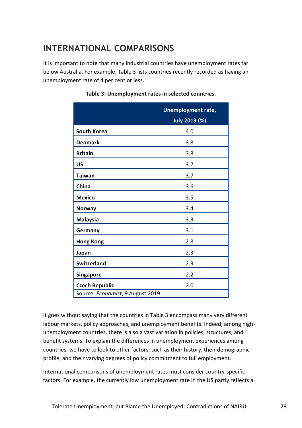## <span id="page-28-0"></span>**INTERNATIONAL COMPARISONS**

It is important to note that many industrial countries have unemployment rates far below Australia. For example, Table 3 lists countries recently recorded as having an unemployment rate of 4 per cent or less.

|                                   | <b>Unemployment rate,</b><br><b>July 2019 (%)</b> |  |
|-----------------------------------|---------------------------------------------------|--|
| <b>South Korea</b>                | 4.0                                               |  |
| <b>Denmark</b>                    | 3.8                                               |  |
| <b>Britain</b>                    | 3.8                                               |  |
| <b>US</b>                         | 3.7                                               |  |
| <b>Taiwan</b>                     | 3.7                                               |  |
| China                             | 3.6                                               |  |
| <b>Mexico</b>                     | 3.5                                               |  |
| <b>Norway</b>                     | 3.4                                               |  |
| <b>Malaysia</b>                   | 3.3                                               |  |
| Germany                           | 3.1                                               |  |
| <b>Hong Kong</b>                  | 2.8                                               |  |
| Japan                             | 2.3                                               |  |
| <b>Switzerland</b>                | 2.3                                               |  |
| <b>Singapore</b>                  | 2.2                                               |  |
| <b>Czech Republic</b>             | 2.0                                               |  |
| Source: Economist, 9 August 2019. |                                                   |  |

#### **Table 3: Unemployment rates in selected countries.**

It goes without saying that the countries in Table 3 encompass many very different labour markets, policy approaches, and unemployment benefits. Indeed, among highunemployment countries, there is also a vast variation in policies, structures, and benefit systems. To explain the differences in unemployment experiences among countries, we have to look to other factors: such as their history, their demographic profile, and their varying degrees of policy commitment to full employment.

International comparisons of unemployment rates must consider country-specific factors. For example, the currently low unemployment rate in the US partly reflects a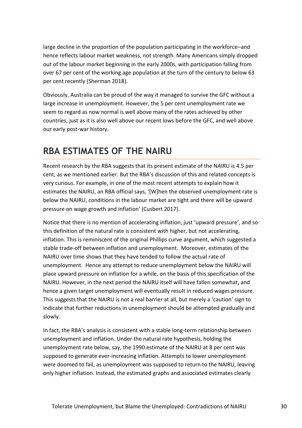large decline in the proportion of the population participating in the workforce–and hence reflects labour market weakness, not strength. Many Americans simply dropped out of the labour market beginning in the early 2000s, with participation falling from over 67 per cent of the working age population at the turn of the century to below 63 per cent recently (Sherman 2018).

Obviously, Australia can be proud of the way it managed to survive the GFC without a large increase in unemployment. However, the 5 per cent unemployment rate we seem to regard as now normal is well above many of the rates achieved by other countries, just as it is also well above our recent lows before the GFC, and well above our early post-war history.

#### <span id="page-29-0"></span>**RBA ESTIMATES OF THE NAIRU**

Recent research by the RBA suggests that its present estimate of the NAIRU is 4.5 per cent, as we mentioned earlier. But the RBA's discussion of this and related concepts is very curious. For example, in one of the most recent attempts to explain how it estimates the NAIRU, an RBA official says, '[W]hen the observed unemployment rate is below the NAIRU, conditions in the labour market are tight and there will be upward pressure on wage growth and inflation' (Cusbert 2017).

Notice that there is no mention of accelerating inflation, just 'upward pressure', and so this definition of the natural rate is consistent with higher, but not accelerating, inflation. This is reminiscent of the original Phillips curve argument, which suggested a stable trade-off between inflation and unemployment. Moreover, estimates of the NAIRU over time shows that they have tended to follow the actual rate of unemployment. Hence any attempt to reduce unemployment below the NAIRU will place upward pressure on inflation for a while, on the basis of this specification of the NAIRU. However, in the next period the NAIRU itself will have fallen somewhat, and hence a given target unemployment will eventually result in reduced wages pressure. This suggests that the NAIRU is not a real barrier at all, but merely a 'caution' sign to indicate that further reductions in unemployment should be attempted gradually and slowly.

In fact, the RBA's analysis is consistent with a stable long-term relationship between unemployment and inflation. Under the natural rate hypothesis, holding the unemployment rate below, say, the 1990 estimate of the NAIRU at 8 per cent was supposed to generate ever-increasing inflation. Attempts to lower unemployment were doomed to fail, as unemployment was supposed to return to the NAIRU, leaving only higher inflation. Instead, the estimated graphs and associated estimates clearly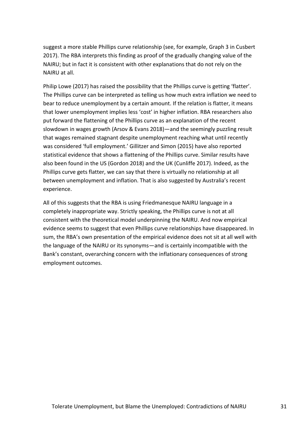suggest a more stable Phillips curve relationship (see, for example, Graph 3 in Cusbert 2017). The RBA interprets this finding as proof of the gradually changing value of the NAIRU; but in fact it is consistent with other explanations that do not rely on the NAIRU at all.

Philip Lowe (2017) has raised the possibility that the Phillips curve is getting 'flatter'. The Phillips curve can be interpreted as telling us how much extra inflation we need to bear to reduce unemployment by a certain amount. If the relation is flatter, it means that lower unemployment implies less 'cost' in higher inflation. RBA researchers also put forward the flattening of the Phillips curve as an explanation of the recent slowdown in wages growth (Arsov & Evans 2018)—and the seemingly puzzling result that wages remained stagnant despite unemployment reaching what until recently was considered 'full employment.' Gillitzer and Simon (2015) have also reported statistical evidence that shows a flattening of the Phillips curve. Similar results have also been found in the US (Gordon 2018) and the UK (Cunliffe 2017). Indeed, as the Phillips curve gets flatter, we can say that there is virtually no relationship at all between unemployment and inflation. That is also suggested by Australia's recent experience.

All of this suggests that the RBA is using Friedmanesque NAIRU language in a completely inappropriate way. Strictly speaking, the Phillips curve is not at all consistent with the theoretical model underpinning the NAIRU. And now empirical evidence seems to suggest that even Phillips curve relationships have disappeared. In sum, the RBA's own presentation of the empirical evidence does not sit at all well with the language of the NAIRU or its synonyms—and is certainly incompatible with the Bank's constant, overarching concern with the inflationary consequences of strong employment outcomes.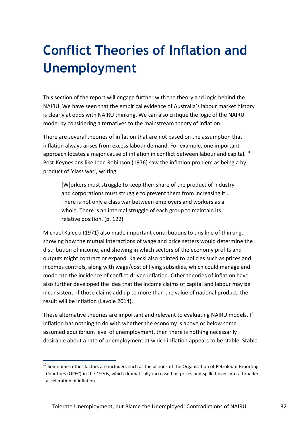# <span id="page-31-0"></span>**Conflict Theories of Inflation and Unemployment**

This section of the report will engage further with the theory and logic behind the NAIRU. We have seen that the empirical evidence of Australia's labour market history is clearly at odds with NAIRU thinking. We can also critique the logic of the NAIRU model by considering alternatives to the mainstream theory of inflation.

There are several theories of inflation that are not based on the assumption that inflation always arises from excess labour demand. For example, one important approach locates a major cause of inflation in conflict between labour and capital.<sup>10</sup> Post-Keynesians like Joan Robinson (1976) saw the inflation problem as being a byproduct of 'class war', writing:

[W]orkers must struggle to keep their share of the product of industry and corporations must struggle to prevent them from increasing it … There is not only a class war between employers and workers as a whole. There is an internal struggle of each group to maintain its relative position. (p. 122)

Michael Kalecki (1971) also made important contributions to this line of thinking, showing how the mutual interactions of wage and price setters would determine the distribution of income, and showing in which sectors of the economy profits and outputs might contract or expand. Kalecki also pointed to policies such as prices and incomes controls, along with wage/cost of living subsidies, which could manage and moderate the incidence of conflict-driven inflation. Other theories of inflation have also further developed the idea that the income claims of capital and labour may be inconsistent; if those claims add up to more than the value of national product, the result will be inflation (Lavoie 2014).

These alternative theories are important and relevant to evaluating NAIRU models. If inflation has nothing to do with whether the economy is above or below some assumed equilibrium level of unemployment, then there is nothing necessarily desirable about a rate of unemployment at which inflation appears to be stable. Stable

1

 $10$  Sometimes other factors are included, such as the actions of the Organisation of Petroleum Exporting Countries (OPEC) in the 1970s, which dramatically increased oil prices and spilled over into a broader acceleration of inflation.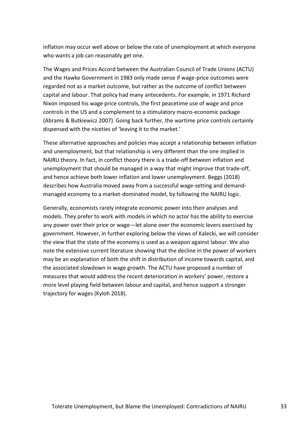inflation may occur well above or below the rate of unemployment at which everyone who wants a job can reasonably get one.

The Wages and Prices Accord between the Australian Council of Trade Unions (ACTU) and the Hawke Government in 1983 only made sense if wage-price outcomes were regarded not as a market outcome, but rather as the outcome of conflict between capital and labour. That policy had many antecedents. For example, in 1971 Richard Nixon imposed his wage price controls, the first peacetime use of wage and price controls in the US and a complement to a stimulatory macro-economic package (Abrams & Butkiewicz 2007). Going back further, the wartime price controls certainly dispensed with the niceties of 'leaving it to the market.'

These alternative approaches and policies may accept a relationship between inflation and unemployment, but that relationship is very different than the one implied in NAIRU theory. In fact, in conflict theory there is a trade-off between inflation and unemployment that should be managed in a way that might improve that trade-off, and hence achieve both lower inflation and lower unemployment. Beggs (2018) describes how Australia moved away from a successful wage-setting and demandmanaged economy to a market-dominated model, by following the NAIRU logic.

Generally, economists rarely integrate economic power into their analyses and models. They prefer to work with models in which no actor has the ability to exercise any power over their price or wage—let alone over the economic levers exercised by government. However, in further exploring below the views of Kalecki, we will consider the view that the state of the economy is used as a weapon against labour. We also note the extensive current literature showing that the decline in the power of workers may be an explanation of both the shift in distribution of income towards capital, and the associated slowdown in wage growth. The ACTU have proposed a number of measures that would address the recent deterioration in workers' power, restore a more level playing field between labour and capital, and hence support a stronger trajectory for wages (Kyloh 2018).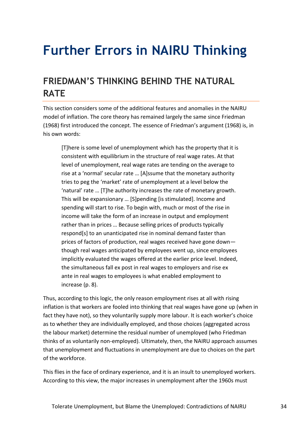# <span id="page-33-0"></span>**Further Errors in NAIRU Thinking**

## <span id="page-33-1"></span>**FRIEDMAN'S THINKING BEHIND THE NATURAL RATE**

This section considers some of the additional features and anomalies in the NAIRU model of inflation. The core theory has remained largely the same since Friedman (1968) first introduced the concept. The essence of Friedman's argument (1968) is, in his own words:

[T]here is some level of unemployment which has the property that it is consistent with equilibrium in the structure of real wage rates. At that level of unemployment, real wage rates are tending on the average to rise at a 'normal' secular rate … [A]ssume that the monetary authority tries to peg the 'market' rate of unemployment at a level below the 'natural' rate … [T]he authority increases the rate of monetary growth. This will be expansionary … [S]pending [is stimulated]. Income and spending will start to rise. To begin with, much or most of the rise in income will take the form of an increase in output and employment rather than in prices … Because selling prices of products typically respond[s] to an unanticipated rise in nominal demand faster than prices of factors of production, real wages received have gone down though real wages anticipated by employees went up, since employees implicitly evaluated the wages offered at the earlier price level. Indeed, the simultaneous fall ex post in real wages to employers and rise ex ante in real wages to employees is what enabled employment to increase (p. 8).

Thus, according to this logic, the only reason employment rises at all with rising inflation is that workers are fooled into thinking that real wages have gone up (when in fact they have not), so they voluntarily supply more labour. It is each worker's choice as to whether they are individually employed, and those choices (aggregated across the labour market) determine the residual number of unemployed (who Friedman thinks of as voluntarily non-employed). Ultimately, then, the NAIRU approach assumes that unemployment and fluctuations in unemployment are due to choices on the part of the workforce.

This flies in the face of ordinary experience, and it is an insult to unemployed workers. According to this view, the major increases in unemployment after the 1960s must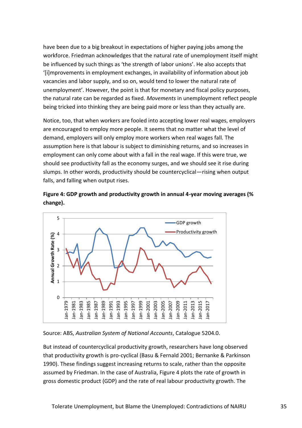have been due to a big breakout in expectations of higher paying jobs among the workforce. Friedman acknowledges that the natural rate of unemployment itself might be influenced by such things as 'the strength of labor unions'. He also accepts that '[i]mprovements in employment exchanges, in availability of information about job vacancies and labor supply, and so on, would tend to lower the natural rate of unemployment'. However, the point is that for monetary and fiscal policy purposes, the natural rate can be regarded as fixed. *Movements* in unemployment reflect people being tricked into thinking they are being paid more or less than they actually are.

Notice, too, that when workers are fooled into accepting lower real wages, employers are encouraged to employ more people. It seems that no matter what the level of demand, employers will only employ more workers when real wages fall. The assumption here is that labour is subject to diminishing returns, and so increases in employment can only come about with a fall in the real wage. If this were true, we should see productivity fall as the economy surges, and we should see it rise during slumps. In other words, productivity should be countercyclical—rising when output falls, and falling when output rises.





Source: ABS, *Australian System of National Accounts*, Catalogue 5204.0.

But instead of countercyclical productivity growth, researchers have long observed that productivity growth is pro-cyclical (Basu & Fernald 2001; Bernanke & Parkinson 1990). These findings suggest increasing returns to scale, rather than the opposite assumed by Friedman. In the case of Australia, Figure 4 plots the rate of growth in gross domestic product (GDP) and the rate of real labour productivity growth. The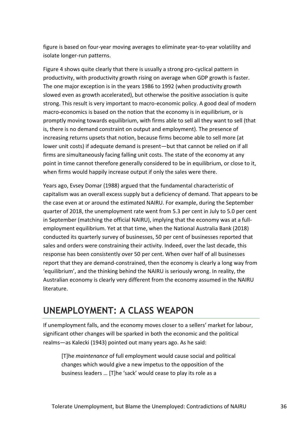figure is based on four-year moving averages to eliminate year-to-year volatility and isolate longer-run patterns.

Figure 4 shows quite clearly that there is usually a strong pro-cyclical pattern in productivity, with productivity growth rising on average when GDP growth is faster. The one major exception is in the years 1986 to 1992 (when productivity growth slowed even as growth accelerated), but otherwise the positive association is quite strong. This result is very important to macro-economic policy. A good deal of modern macro-economics is based on the notion that the economy is in equilibrium, or is promptly moving towards equilibrium, with firms able to sell all they want to sell (that is, there is no demand constraint on output and employment). The presence of increasing returns upsets that notion, because firms become able to sell more (at lower unit costs) if adequate demand is present—but that cannot be relied on if all firms are simultaneously facing falling unit costs. The state of the economy at any point in time cannot therefore generally considered to be in equilibrium, or close to it, when firms would happily increase output if only the sales were there.

Years ago, Evsey Domar (1988) argued that the fundamental characteristic of capitalism was an overall excess supply but a deficiency of demand. That appears to be the case even at or around the estimated NAIRU. For example, during the September quarter of 2018, the unemployment rate went from 5.3 per cent in July to 5.0 per cent in September (matching the official NAIRU), implying that the economy was at a fullemployment equilibrium. Yet at that time, when the National Australia Bank (2018) conducted its quarterly survey of businesses, 50 per cent of businesses reported that sales and orders were constraining their activity. Indeed, over the last decade, this response has been consistently over 50 per cent. When over half of all businesses report that they are demand-constrained, then the economy is clearly a long way from 'equilibrium', and the thinking behind the NAIRU is seriously wrong. In reality, the Australian economy is clearly very different from the economy assumed in the NAIRU literature.

## <span id="page-35-0"></span>**UNEMPLOYMENT: A CLASS WEAPON**

If unemployment falls, and the economy moves closer to a sellers' market for labour, significant other changes will be sparked in both the economic and the political realms—as Kalecki (1943) pointed out many years ago. As he said:

[T]he *maintenance* of full employment would cause social and political changes which would give a new impetus to the opposition of the business leaders … [T]he 'sack' would cease to play its role as a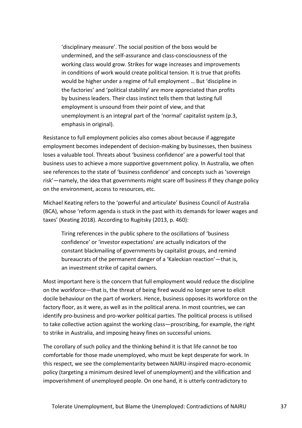'disciplinary measure'. The social position of the boss would be undermined, and the self-assurance and class-consciousness of the working class would grow. Strikes for wage increases and improvements in conditions of work would create political tension. It is true that profits would be higher under a regime of full employment … But 'discipline in the factories' and 'political stability' are more appreciated than profits by business leaders. Their class instinct tells them that lasting full employment is unsound from their point of view, and that unemployment is an integral part of the 'normal' capitalist system (p.3, emphasis in original).

Resistance to full employment policies also comes about because if aggregate employment becomes independent of decision-making by businesses, then business loses a valuable tool. Threats about 'business confidence' are a powerful tool that business uses to achieve a more supportive government policy. In Australia, we often see references to the state of 'business confidence' and concepts such as 'sovereign risk'—namely, the idea that governments might scare off business if they change policy on the environment, access to resources, etc.

Michael Keating refers to the 'powerful and articulate' Business Council of Australia (BCA), whose 'reform agenda is stuck in the past with its demands for lower wages and taxes' (Keating 2018). According to Rugitsky (2013, p. 460):

Tiring references in the public sphere to the oscillations of 'business confidence' or 'investor expectations' are actually indicators of the constant blackmailing of governments by capitalist groups, and remind bureaucrats of the permanent danger of a 'Kaleckian reaction'—that is, an investment strike of capital owners.

Most important here is the concern that full employment would reduce the discipline on the workforce—that is, the threat of being fired would no longer serve to elicit docile behaviour on the part of workers. Hence, business opposes its workforce on the factory floor, as it were, as well as in the political arena. In most countries, we can identify pro-business and pro-worker political parties. The political process is utilised to take collective action against the working class—proscribing, for example, the right to strike in Australia, and imposing heavy fines on successful unions.

The corollary of such policy and the thinking behind it is that life cannot be too comfortable for those made unemployed, who must be kept desperate for work. In this respect, we see the complementarity between NAIRU-inspired macro-economic policy (targeting a minimum desired level of unemployment) and the vilification and impoverishment of unemployed people. On one hand, it is utterly contradictory to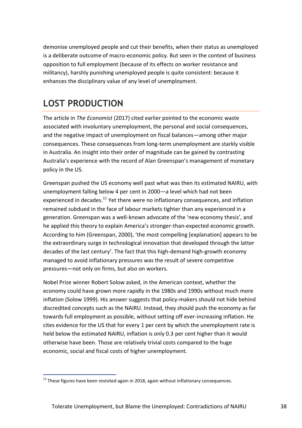demonise unemployed people and cut their benefits, when their status as unemployed is a deliberate outcome of macro-economic policy. But seen in the context of business opposition to full employment (because of its effects on worker resistance and militancy), harshly punishing unemployed people is quite consistent: because it enhances the disciplinary value of any level of unemployment.

## <span id="page-37-0"></span>**LOST PRODUCTION**

1

The article in *The Economist* (2017) cited earlier pointed to the economic waste associated with involuntary unemployment, the personal and social consequences, and the negative impact of unemployment on fiscal balances—among other major consequences. These consequences from long-term unemployment are starkly visible in Australia. An insight into their order of magnitude can be gained by contrasting Australia's experience with the record of Alan Greenspan's management of monetary policy in the US.

Greenspan pushed the US economy well past what was then its estimated NAIRU, with unemployment falling below 4 per cent in 2000—a level which had not been experienced in decades.<sup>11</sup> Yet there were no inflationary consequences, and inflation remained subdued in the face of labour markets tighter than any experienced in a generation. Greenspan was a well-known advocate of the 'new economy thesis', and he applied this theory to explain America's stronger-than-expected economic growth. According to him (Greenspan, 2000), 'the most compelling [explanation] appears to be the extraordinary surge in technological innovation that developed through the latter decades of the last century'. The fact that this high-demand high-growth economy managed to avoid inflationary pressures was the result of severe competitive pressures—not only on firms, but also on workers.

Nobel Prize winner Robert Solow asked, in the American context, whether the economy could have grown more rapidly in the 1980s and 1990s without much more inflation (Solow 1999). His answer suggests that policy-makers should not hide behind discredited concepts such as the NAIRU. Instead, they should push the economy as far towards full employment as possible, without setting off ever-increasing inflation. He cites evidence for the US that for every 1 per cent by which the unemployment rate is held below the estimated NAIRU, inflation is only 0.3 per cent higher than it would otherwise have been. Those are relatively trivial costs compared to the huge economic, social and fiscal costs of higher unemployment.

 $11$  These figures have been revisited again in 2018, again without inflationary consequences.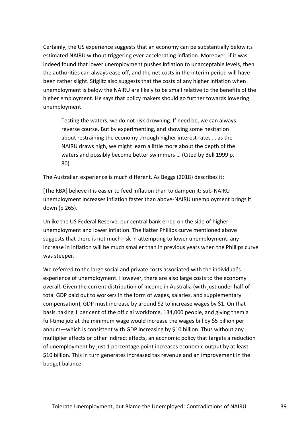Certainly, the US experience suggests that an economy can be substantially below its estimated NAIRU without triggering ever-accelerating inflation. Moreover, if it was indeed found that lower unemployment pushes inflation to unacceptable levels, then the authorities can always ease off, and the net costs in the interim period will have been rather slight. Stiglitz also suggests that the costs of any higher inflation when unemployment is below the NAIRU are likely to be small relative to the benefits of the higher employment. He says that policy makers should go further towards lowering unemployment:

Testing the waters, we do not risk drowning. If need be, we can always reverse course. But by experimenting, and showing some hesitation about restraining the economy through higher interest rates … as the NAIRU draws nigh, we might learn a little more about the depth of the waters and possibly become better swimmers … (Cited by Bell 1999 p. 80)

The Australian experience is much different. As Beggs (2018) describes it:

[The RBA] believe it is easier to feed inflation than to dampen it: sub-NAIRU unemployment increases inflation faster than above-NAIRU unemployment brings it down (p 265).

Unlike the US Federal Reserve, our central bank erred on the side of higher unemployment and lower inflation. The flatter Phillips curve mentioned above suggests that there is not much risk in attempting to lower unemployment: any increase in inflation will be much smaller than in previous years when the Phillips curve was steeper.

We referred to the large social and private costs associated with the individual's experience of unemployment. However, there are also large costs to the economy overall. Given the current distribution of income in Australia (with just under half of total GDP paid out to workers in the form of wages, salaries, and supplementary compensation), GDP must increase by around \$2 to increase wages by \$1. On that basis, taking 1 per cent of the official workforce, 134,000 people, and giving them a full-time job at the minimum wage would increase the wages bill by \$5 billion per annum—which is consistent with GDP increasing by \$10 billion. Thus without any multiplier effects or other indirect effects, an economic policy that targets a reduction of unemployment by just 1 percentage point increases economic output by at least \$10 billion. This in turn generates increased tax revenue and an improvement in the budget balance.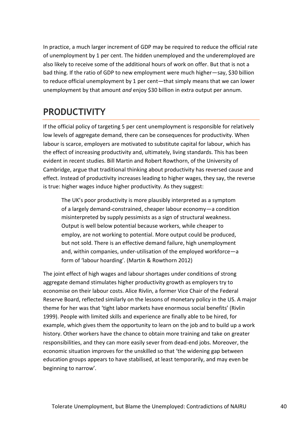In practice, a much larger increment of GDP may be required to reduce the official rate of unemployment by 1 per cent. The hidden unemployed and the underemployed are also likely to receive some of the additional hours of work on offer. But that is not a bad thing. If the ratio of GDP to new employment were much higher—say, \$30 billion to reduce official unemployment by 1 per cent—that simply means that we can lower unemployment by that amount *and* enjoy \$30 billion in extra output per annum.

## <span id="page-39-0"></span>**PRODUCTIVITY**

If the official policy of targeting 5 per cent unemployment is responsible for relatively low levels of aggregate demand, there can be consequences for productivity. When labour is scarce, employers are motivated to substitute capital for labour, which has the effect of increasing productivity and, ultimately, living standards. This has been evident in recent studies. Bill Martin and Robert Rowthorn, of the University of Cambridge, argue that traditional thinking about productivity has reversed cause and effect. Instead of productivity increases leading to higher wages, they say, the reverse is true: higher wages induce higher productivity. As they suggest:

The UK's poor productivity is more plausibly interpreted as a symptom of a largely demand‐constrained, cheaper labour economy—a condition misinterpreted by supply pessimists as a sign of structural weakness. Output is well below potential because workers, while cheaper to employ, are not working to potential. More output could be produced, but not sold. There is an effective demand failure, high unemployment and, within companies, under‐utilisation of the employed workforce—a form of 'labour hoarding'. (Martin & Rowthorn 2012)

The joint effect of high wages and labour shortages under conditions of strong aggregate demand stimulates higher productivity growth as employers try to economise on their labour costs. Alice Rivlin, a former Vice Chair of the Federal Reserve Board, reflected similarly on the lessons of monetary policy in the US. A major theme for her was that 'tight labor markets have enormous social benefits' (Rivlin 1999). People with limited skills and experience are finally able to be hired, for example, which gives them the opportunity to learn on the job and to build up a work history. Other workers have the chance to obtain more training and take on greater responsibilities, and they can more easily sever from dead-end jobs. Moreover, the economic situation improves for the unskilled so that 'the widening gap between education groups appears to have stabilised, at least temporarily, and may even be beginning to narrow'.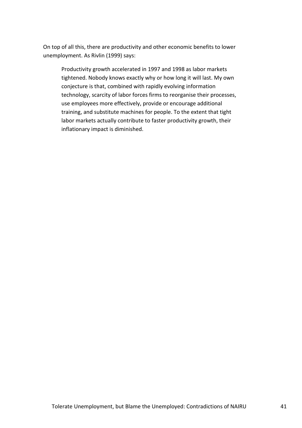On top of all this, there are productivity and other economic benefits to lower unemployment. As Rivlin (1999) says:

Productivity growth accelerated in 1997 and 1998 as labor markets tightened. Nobody knows exactly why or how long it will last. My own conjecture is that, combined with rapidly evolving information technology, scarcity of labor forces firms to reorganise their processes, use employees more effectively, provide or encourage additional training, and substitute machines for people. To the extent that tight labor markets actually contribute to faster productivity growth, their inflationary impact is diminished.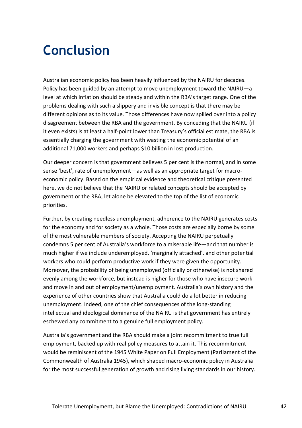# <span id="page-41-0"></span>**Conclusion**

Australian economic policy has been heavily influenced by the NAIRU for decades. Policy has been guided by an attempt to move unemployment toward the NAIRU—a level at which inflation should be steady and within the RBA's target range. One of the problems dealing with such a slippery and invisible concept is that there may be different opinions as to its value. Those differences have now spilled over into a policy disagreement between the RBA and the government. By conceding that the NAIRU (if it even exists) is at least a half-point lower than Treasury's official estimate, the RBA is essentially charging the government with wasting the economic potential of an additional 71,000 workers and perhaps \$10 billion in lost production.

Our deeper concern is that government believes 5 per cent is the normal, and in some sense 'best', rate of unemployment—as well as an appropriate target for macroeconomic policy. Based on the empirical evidence and theoretical critique presented here, we do not believe that the NAIRU or related concepts should be accepted by government or the RBA, let alone be elevated to the top of the list of economic priorities.

Further, by creating needless unemployment, adherence to the NAIRU generates costs for the economy and for society as a whole. Those costs are especially borne by some of the most vulnerable members of society. Accepting the NAIRU perpetually condemns 5 per cent of Australia's workforce to a miserable life—and that number is much higher if we include underemployed, 'marginally attached', and other potential workers who could perform productive work if they were given the opportunity. Moreover, the probability of being unemployed (officially or otherwise) is not shared evenly among the workforce, but instead is higher for those who have insecure work and move in and out of employment/unemployment. Australia's own history and the experience of other countries show that Australia could do a lot better in reducing unemployment. Indeed, one of the chief consequences of the long-standing intellectual and ideological dominance of the NAIRU is that government has entirely eschewed any commitment to a genuine full employment policy.

Australia's government and the RBA should make a joint recommitment to true full employment, backed up with real policy measures to attain it. This recommitment would be reminiscent of the 1945 White Paper on Full Employment (Parliament of the Commonwealth of Australia 1945), which shaped macro-economic policy in Australia for the most successful generation of growth and rising living standards in our history.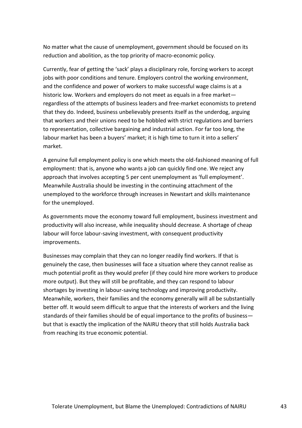No matter what the cause of unemployment, government should be focused on its reduction and abolition, as the top priority of macro-economic policy.

Currently, fear of getting the 'sack' plays a disciplinary role, forcing workers to accept jobs with poor conditions and tenure. Employers control the working environment, and the confidence and power of workers to make successful wage claims is at a historic low. Workers and employers do not meet as equals in a free market regardless of the attempts of business leaders and free-market economists to pretend that they do. Indeed, business unbelievably presents itself as the underdog, arguing that workers and their unions need to be hobbled with strict regulations and barriers to representation, collective bargaining and industrial action. For far too long, the labour market has been a buyers' market; it is high time to turn it into a sellers' market.

A genuine full employment policy is one which meets the old-fashioned meaning of full employment: that is, anyone who wants a job can quickly find one. We reject any approach that involves accepting 5 per cent unemployment as 'full employment'. Meanwhile Australia should be investing in the continuing attachment of the unemployed to the workforce through increases in Newstart and skills maintenance for the unemployed.

As governments move the economy toward full employment, business investment and productivity will also increase, while inequality should decrease. A shortage of cheap labour will force labour-saving investment, with consequent productivity improvements.

Businesses may complain that they can no longer readily find workers. If that is genuinely the case, then businesses will face a situation where they cannot realise as much potential profit as they would prefer (if they could hire more workers to produce more output). But they will still be profitable, and they can respond to labour shortages by investing in labour-saving technology and improving productivity. Meanwhile, workers, their families and the economy generally will all be substantially better off. It would seem difficult to argue that the interests of workers and the living standards of their families should be of equal importance to the profits of business but that is exactly the implication of the NAIRU theory that still holds Australia back from reaching its true economic potential.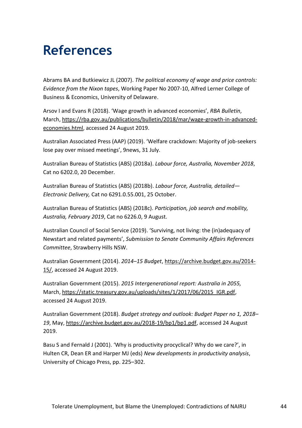# <span id="page-43-0"></span>**References**

Abrams BA and Butkiewicz JL (2007). *The political economy of wage and price controls: Evidence from the Nixon tapes*, Working Paper No 2007-10, Alfred Lerner College of Business & Economics, University of Delaware.

Arsov I and Evans R (2018). 'Wage growth in advanced economies', *RBA Bulletin*, March, [https://rba.gov.au/publications/bulletin/2018/mar/wage-growth-in-advanced](https://rba.gov.au/publications/bulletin/2018/mar/wage-growth-in-advanced-economies.html)[economies.html,](https://rba.gov.au/publications/bulletin/2018/mar/wage-growth-in-advanced-economies.html) accessed 24 August 2019.

Australian Associated Press (AAP) (2019). 'Welfare crackdown: Majority of job-seekers lose pay over missed meetings', 9news, 31 July.

Australian Bureau of Statistics (ABS) (2018a). *Labour force, Australia, November 2018*, Cat no 6202.0, 20 December.

Australian Bureau of Statistics (ABS) (2018b). *Labour force, Australia, detailed— Electronic Delivery,* Cat no 6291.0.55.001, 25 October.

Australian Bureau of Statistics (ABS) (2018c). *Participation, job search and mobility, Australia, February 2019*, Cat no 6226.0, 9 August.

Australian Council of Social Service (2019). 'Surviving, not living: the (in)adequacy of Newstart and related payments', *Submission to Senate Community Affairs References Committee*, Strawberry Hills NSW.

Australian Government (2014). *2014–15 Budget*[, https://archive.budget.gov.au/2014-](https://archive.budget.gov.au/2014-15/) [15/,](https://archive.budget.gov.au/2014-15/) accessed 24 August 2019.

Australian Government (2015). *2015 Intergenerational report: Australia in 2055,* March, [https://static.treasury.gov.au/uploads/sites/1/2017/06/2015\\_IGR.pdf,](https://static.treasury.gov.au/uploads/sites/1/2017/06/2015_IGR.pdf) accessed 24 August 2019.

Australian Government (2018). *Budget strategy and outlook: Budget Paper no 1, 2018– 19*, May, [https://archive.budget.gov.au/2018-19/bp1/bp1.pdf,](https://archive.budget.gov.au/2018-19/bp1/bp1.pdf) accessed 24 August 2019.

Basu S and Fernald J (2001). 'Why is productivity procyclical? Why do we care?', in Hulten CR, Dean ER and Harper MJ (eds) *New developments in productivity analysis*, University of Chicago Press, pp. 225–302.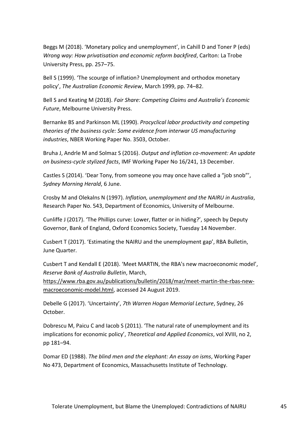Beggs M (2018). 'Monetary policy and unemployment', in Cahill D and Toner P (eds) *Wrong way: How privatisation and economic reform backfired*, Carlton: La Trobe University Press, pp. 257–75.

Bell S (1999). 'The scourge of inflation? Unemployment and orthodox monetary policy', *The Australian Economic Review*, March 1999, pp. 74–82.

Bell S and Keating M (2018). *Fair Share: Competing Claims and Australia's Economic Future*, Melbourne University Press.

Bernanke BS and Parkinson ML (1990). *Procyclical labor productivity and competing theories of the business cycle: Some evidence from interwar US manufacturing industries*, NBER Working Paper No. 3503, October.

Bruha J, Andrle M and Solmaz S (2016). *Output and inflation co-movement: An update on business-cycle stylized facts*, IMF Working Paper No 16/241, 13 December.

Castles S (2014). 'Dear Tony, from someone you may once have called a "job snob"', *Sydney Morning Herald*, 6 June.

Crosby M and Olekalns N (1997). *Inflation, unemployment and the NAIRU in Australia*, Research Paper No. 543, Department of Economics, University of Melbourne.

Cunliffe J (2017). 'The Phillips curve: Lower, flatter or in hiding?', speech by Deputy Governor, Bank of England, Oxford Economics Society, Tuesday 14 November.

Cusbert T (2017). 'Estimating the NAIRU and the unemployment gap', RBA Bulletin, June Quarter.

Cusbert T and Kendall E (2018). 'Meet MARTIN, the RBA's new macroeconomic model', *Reserve Bank of Australia Bulletin*, March,

[https://www.rba.gov.au/publications/bulletin/2018/mar/meet-martin-the-rbas-new](https://www.rba.gov.au/publications/bulletin/2018/mar/meet-martin-the-rbas-new-macroeconomic-model.html)[macroeconomic-model.html,](https://www.rba.gov.au/publications/bulletin/2018/mar/meet-martin-the-rbas-new-macroeconomic-model.html) accessed 24 August 2019.

Debelle G (2017). 'Uncertainty', *7th Warren Hogan Memorial Lecture*, Sydney, 26 October.

Dobrescu M, Paicu C and Iacob S (2011). 'The natural rate of unemployment and its implications for economic policy', *Theoretical and Applied Economics*, vol XVIII, no 2, pp 181–94.

Domar ED (1988). *The blind men and the elephant: An essay on isms*, Working Paper No 473, Department of Economics, Massachusetts Institute of Technology.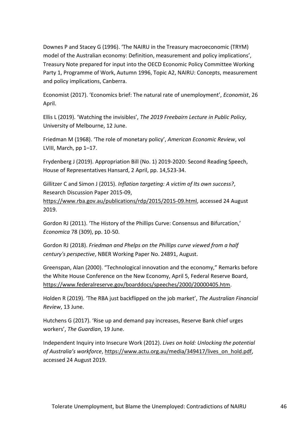Downes P and Stacey G (1996). 'The NAIRU in the Treasury macroeconomic (TRYM) model of the Australian economy: Definition, measurement and policy implications', Treasury Note prepared for input into the OECD Economic Policy Committee Working Party 1, Programme of Work, Autumn 1996, Topic A2, NAIRU: Concepts, measurement and policy implications, Canberra.

Economist (2017). 'Economics brief: The natural rate of unemployment', *Economist*, 26 April.

Ellis L (2019). 'Watching the invisibles', *The 2019 Freebairn Lecture in Public Policy*, University of Melbourne, 12 June.

Friedman M (1968). 'The role of monetary policy', *American Economic Review*, vol LVIII, March, pp 1–17.

Frydenberg J (2019). Appropriation Bill (No. 1) 2019-2020: Second Reading Speech, House of Representatives Hansard, 2 April, pp. 14,523-34.

Gillitzer C and Simon J (2015). *Inflation targeting: A victim of Its own success?*, Research Discussion Paper 2015-09,

[https://www.rba.gov.au/publications/rdp/2015/2015-09.html,](https://www.rba.gov.au/publications/rdp/2015/2015-09.html) accessed 24 August 2019.

Gordon RJ (2011). 'The History of the Phillips Curve: Consensus and Bifurcation,' *Economica* 78 (309), pp. 10-50.

Gordon RJ (2018). *Friedman and Phelps on the Phillips curve viewed from a half century's perspective*, NBER Working Paper No. 24891, August.

Greenspan, Alan (2000). "Technological innovation and the economy," Remarks before the White House Conference on the New Economy, April 5, Federal Reserve Board, [https://www.federalreserve.gov/boarddocs/speeches/2000/20000405.htm.](https://www.federalreserve.gov/boarddocs/speeches/2000/20000405.htm)

Holden R (2019). 'The RBA just backflipped on the job market', *The Australian Financial Review*, 13 June.

Hutchens G (2017). 'Rise up and demand pay increases, Reserve Bank chief urges workers', *The Guardian*, 19 June.

Independent Inquiry into Insecure Work (2012). *Lives on hold: Unlocking the potential of Australia's workforce*, [https://www.actu.org.au/media/349417/lives\\_on\\_hold.pdf,](https://www.actu.org.au/media/349417/lives_on_hold.pdf) accessed 24 August 2019.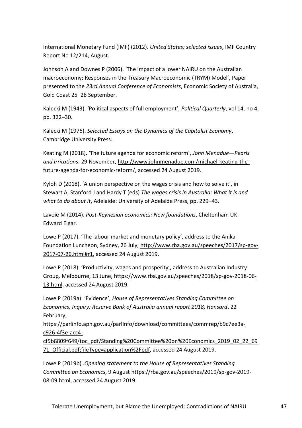International Monetary Fund (IMF) (2012). *United States; selected issues*, IMF Country Report No 12/214, August.

Johnson A and Downes P (2006). 'The impact of a lower NAIRU on the Australian macroeconomy: Responses in the Treasury Macroeconomic (TRYM) Model', Paper presented to the *23rd Annual Conference of Economists*, Economic Society of Australia, Gold Coast 25–28 September.

Kalecki M (1943). 'Political aspects of full employment', *Political Quarterly*, vol 14, no 4, pp. 322–30.

Kalecki M (1976). *Selected Essays on the Dynamics of the Capitalist Economy*, Cambridge University Press.

Keating M (2018). 'The future agenda for economic reform', *John Menadue—Pearls and Irritations*, 29 November, [http://www.johnmenadue.com/michael-keating-the](http://www.johnmenadue.com/michael-keating-the-future-agenda-for-economic-reform/)[future-agenda-for-economic-reform/,](http://www.johnmenadue.com/michael-keating-the-future-agenda-for-economic-reform/) accessed 24 August 2019.

Kyloh D (2018). 'A union perspective on the wages crisis and how to solve it', in Stewart A, Stanford J and Hardy T (eds) *The wages crisis in Australia: What it is and what to do about it*, Adelaide: University of Adelaide Press, pp. 229–43.

Lavoie M (2014). *Post-Keynesian economics: New foundations*, Cheltenham UK: Edward Elgar.

Lowe P (2017). 'The labour market and monetary policy', address to the Anika Foundation Luncheon, Sydney, 26 July, [http://www.rba.gov.au/speeches/2017/sp-gov-](http://www.rba.gov.au/speeches/2017/sp-gov-2017-07-26.html#r1)[2017-07-26.html#r1,](http://www.rba.gov.au/speeches/2017/sp-gov-2017-07-26.html#r1) accessed 24 August 2019.

Lowe P (2018). 'Productivity, wages and prosperity', address to Australian Industry Group*,* Melbourne, 13 June, [https://www.rba.gov.au/speeches/2018/sp-gov-2018-06-](https://www.rba.gov.au/speeches/2018/sp-gov-2018-06-13.html) [13.html,](https://www.rba.gov.au/speeches/2018/sp-gov-2018-06-13.html) accessed 24 August 2019.

Lowe P (2019a). 'Evidence', *House of Representatives Standing Committee on Economics, Inquiry: Reserve Bank of Australia annual report 2018, Hansard*, 22 February,

[https://parlinfo.aph.gov.au/parlInfo/download/committees/commrep/b9c7ee3a](https://parlinfo.aph.gov.au/parlInfo/download/committees/commrep/b9c7ee3a-c926-4f3e-acc4-cf5b8809f649/toc_pdf/Standing%20Committee%20on%20Economics_2019_02_22_6971_Official.pdf;fileType=application%2Fpdf)[c926-4f3e-acc4-](https://parlinfo.aph.gov.au/parlInfo/download/committees/commrep/b9c7ee3a-c926-4f3e-acc4-cf5b8809f649/toc_pdf/Standing%20Committee%20on%20Economics_2019_02_22_6971_Official.pdf;fileType=application%2Fpdf)

[cf5b8809f649/toc\\_pdf/Standing%20Committee%20on%20Economics\\_2019\\_02\\_22\\_69](https://parlinfo.aph.gov.au/parlInfo/download/committees/commrep/b9c7ee3a-c926-4f3e-acc4-cf5b8809f649/toc_pdf/Standing%20Committee%20on%20Economics_2019_02_22_6971_Official.pdf;fileType=application%2Fpdf) [71\\_Official.pdf;fileType=application%2Fpdf,](https://parlinfo.aph.gov.au/parlInfo/download/committees/commrep/b9c7ee3a-c926-4f3e-acc4-cf5b8809f649/toc_pdf/Standing%20Committee%20on%20Economics_2019_02_22_6971_Official.pdf;fileType=application%2Fpdf) accessed 24 August 2019.

Lowe P (2019b) .*Opening statement to the House of Representatives Standing Committee on Economics*, 9 August https://rba.gov.au/speeches/2019/sp-gov-2019- 08-09.html, accessed 24 August 2019.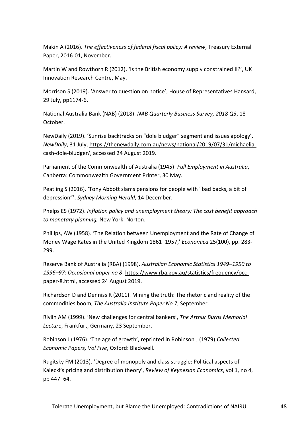Makin A (2016). *The effectiveness of federal fiscal policy: A review*, Treasury External Paper, 2016-01, November.

Martin W and Rowthorn R (2012). 'Is the British economy supply constrained II?', UK Innovation Research Centre, May.

Morrison S (2019). 'Answer to question on notice', House of Representatives Hansard, 29 July, pp1174-6.

National Australia Bank (NAB) (2018). *NAB Quarterly Business Survey, 2018 Q3*, 18 October.

NewDaily (2019). 'Sunrise backtracks on "dole bludger" segment and issues apology', *NewDaily*, 31 July, [https://thenewdaily.com.au/news/national/2019/07/31/michaelia](https://thenewdaily.com.au/news/national/2019/07/31/michaelia-cash-dole-bludger/)[cash-dole-bludger/,](https://thenewdaily.com.au/news/national/2019/07/31/michaelia-cash-dole-bludger/) accessed 24 August 2019.

Parliament of the Commonwealth of Australia (1945). *Full Employment in Australia*, Canberra: Commonwealth Government Printer, 30 May.

Peatling S (2016). 'Tony Abbott slams pensions for people with "bad backs, a bit of depression"', *Sydney Morning Herald*, 14 December.

Phelps ES (1972). *Inflation policy and unemployment theory: The cost benefit approach to monetary planning,* New York: Norton.

Phillips, AW (1958). 'The Relation between Unemployment and the Rate of Change of Money Wage Rates in the United Kingdom 1861–1957,' *Economica* 25(100), pp. 283- 299.

Reserve Bank of Australia (RBA) (1998). *Australian Economic Statistics 1949–1950 to 1996–97: Occasional paper no 8*[, https://www.rba.gov.au/statistics/frequency/occ](https://www.rba.gov.au/statistics/frequency/occ-paper-8.html)[paper-8.html,](https://www.rba.gov.au/statistics/frequency/occ-paper-8.html) accessed 24 August 2019.

Richardson D and Denniss R (2011). Mining the truth: The rhetoric and reality of the commodities boom, *The Australia Institute Paper No 7*, September.

Rivlin AM (1999). 'New challenges for central bankers', *The Arthur Burns Memorial Lecture*, Frankfurt, Germany, 23 September.

Robinson J (1976). 'The age of growth', reprinted in Robinson J (1979) *Collected Economic Papers, Vol Five*, Oxford: Blackwell.

Rugitsky FM (2013). 'Degree of monopoly and class struggle: Political aspects of Kalecki's pricing and distribution theory', *Review of Keynesian Economics*, vol 1, no 4, pp 447–64.